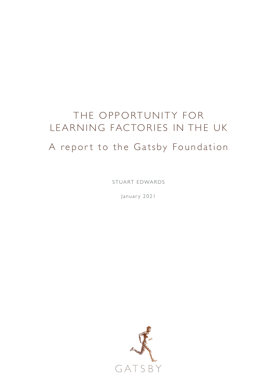# THE OPPORTUNITY FOR LEARNING FACTORIES IN THE UK A report to the Gatsby Foundation

STUART EDWARDS

January 2021

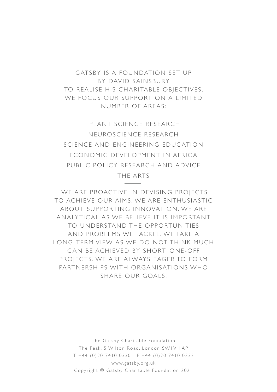GATSBY IS A FOUNDATION SET UP BY DAVID SAINSBURY TO REALISE HIS CHARITABLE OBJECTIVES. WE FOCUS OUR SUPPORT ON A LIMITED NUMBER OF AREAS:

 PLANT SCIENCE RESEARCH NEUROSCIENCE RESEARCH SCIENCE AND ENGINEERING EDUC ATION ECONOMIC DEVELOPMENT IN AFRICA PUBLIC POLICY RESEARCH AND ADVICE

THE ARTS

 WE ARE PROACTIVE IN DEVISING PROJECTS TO ACHIEVE OUR AIMS. WE ARE ENTHUSIASTIC A BOUT SUPPORTING INNOVATION. WE ARE AN ALYTICAL AS WE BELIEVE IT IS IMPORTANT TO UNDERSTAND THE OPPORTUNITIES AND PROBLEMS WE TACKLE, WE TAKE A LONG-TERM VIEW AS WE DO NOT THINK MUCH CAN BE ACHIEVED BY SHORT, ONE-OFF PROJECTS. WE ARE ALWAYS EAGER TO FORM PARTNERSHIPS WITH ORGANISATIONS WHO SHARE OUR GOALS

> The Gatsby Charitable Foundation The Peak, 5 Wilton Road, London SW1V 1AP T +44 (0)20 7410 0330 F +44 (0)20 7410 0332 www.gatsby.org.uk Copyright © Gatsby Charitable Foundation 2021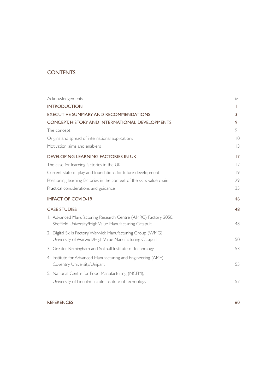## **CONTENTS**

| Acknowledgements                                                                                                         | iv             |
|--------------------------------------------------------------------------------------------------------------------------|----------------|
| <b>INTRODUCTION</b>                                                                                                      | ı              |
| <b>EXECUTIVE SUMMARY AND RECOMMENDATIONS</b>                                                                             | 3              |
| CONCEPT, HISTORY AND INTERNATIONAL DEVELOPMENTS                                                                          | 9              |
| The concept                                                                                                              | 9              |
| Origins and spread of international applications                                                                         | $\overline{0}$ |
| Motivation, aims and enablers                                                                                            | 3              |
| DEVELOPING LEARNING FACTORIES IN UK                                                                                      | 17             |
| The case for learning factories in the UK                                                                                | 17             |
| Current state of play and foundations for future development                                                             | 9              |
| Positioning learning factories in the context of the skills value chain                                                  | 29             |
| Practical considerations and guidance                                                                                    | 35             |
|                                                                                                                          |                |
| <b>IMPACT OF COVID-19</b>                                                                                                | 46             |
| <b>CASE STUDIES</b>                                                                                                      | 48             |
| I. Advanced Manufacturing Research Centre (AMRC) Factory 2050,<br>Sheffield University/High Value Manufacturing Catapult | 48             |
| 2. Digital Skills Factory, Warwick Manufacturing Group (WMG),<br>University of Warwick/High Value Manufacturing Catapult | 50             |
| 3. Greater Birmingham and Solihull Institute of Technology                                                               | 53             |
| 4. Institute for Advanced Manufacturing and Engineering (AME),<br>Coventry University/Unipart                            | 55             |
| 5. National Centre for Food Manufacturing (NCFM),                                                                        |                |

#### REFERENCES 60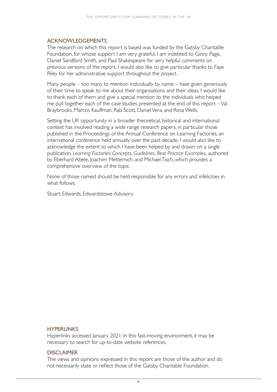## ACKNOWLEDGEMENTS

The research on which this report is based was funded by the Gatsby Charitable Foundation, for whose support I am very grateful. I am indebted to Ginny Page, Daniel Sandford Smith, and Paul Shakespeare for very helpful comments on previous versions of the report. I would also like to give particular thanks to Faye Riley for her administrative support throughout the project.

Many people – too many to mention individually by name – have given generously of their time to speak to me about their organisations and their ideas. I would like to thank each of them and give a special mention to the individuals who helped me pull together each of the case studies presented at the end of this report – Val Braybrooks, Marcos Kauffman, Rab Scott, Daniel Vera, and Rosa Wells.

Setting the UK opportunity in a broader theoretical, historical and international context has involved reading a wide range research papers, in particular those published in the Proceedings of the Annual Conference on Learning Factories, an international conference held annually over the past decade. I would also like to acknowledge the extent to which I have been helped by and drawn on a single publication*, Learning Factories: Concepts, Guidelines, Best Practice Examples,* authored by Eberhard Abele, Joachim Metternich, and Michael Tisch, which provides a comprehensive overview of the topic.

None of those named should be held responsible for any errors and infelicities in what follows.

Stuart Edwards, Edwardstowe Advisory

#### **HYPERLINKS**

Hyperlinks accessed January 2021. In this fast-moving environment, it may be necessary to search for up-to-date website references.

#### **DISCLAIMER**

The views and opinions expressed in this report are those of the author and do not necessarily state or reflect those of the Gatsby Charitable Foundation.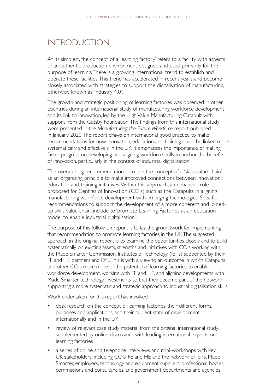## INTRODUCTION

At its simplest, the concept of a 'learning factory' refers to a facility with aspects of an authentic production environment designed and used primarily for the purpose of learning. There is a growing international trend to establish and operate these facilities. This trend has accelerated in recent years and become closely associated with strategies to support the digitalisation of manufacturing, otherwise known as 'Industry 4.0'.

The growth and strategic positioning of learning factories was observed in other countries during an international study of manufacturing workforce development and its link to innovation, led by the High Value Manufacturing Catapult with support from the Gatsby Foundation. The findings from this international study were presented in the *Manufacturing the Future Workforce* report published in January 2020. The report draws on international good practice to make recommendations for how innovation, education and training could be linked more systematically and effectively in the UK. It emphasises the importance of making faster progress on developing and aligning workforce skills to anchor the benefits of innovation, particularly in the context of industrial digitalisation.

The overarching recommendation is to use the concept of a 'skills value chain' as an organising principle to make improved connections between innovation, education and training initiatives. Within this approach, an enhanced role is proposed for Centres of Innovation (COIs) such as the Catapults in aligning manufacturing workforce development with emerging technologies. Specific recommendations to support the development of a more coherent and joinedup skills value chain, include to 'promote Learning Factories as an education model to enable industrial digitalisation'.

The purpose of this follow-on report is to lay the groundwork for implementing that recommendation to promote learning factories in the UK. The suggested approach in the original report is to examine the opportunities closely and to build systematically on existing assets, strengths and initiatives with COIs working with the Made Smarter Commission, Institutes of Technology (IoTs) supported by their FE and HE partners and DfE. This is with a view to an outcome in which Catapults and other COIs make more of the potential of learning factories to enable workforce development, working with FE and HE, and aligning developments with Made Smarter technology investments so that they become part of the network supporting a more systematic and strategic approach to industrial digitalisation skills.

Work undertaken for this report has involved:

- desk research on the concept of learning factories, their different forms, purposes and applications, and their current state of development internationally and in the UK
- review of relevant case study material from the original international study, supplemented by online discussions with leading international experts on learning factories
- a series of online and telephone interviews and mini-workshops with key UK stakeholders, including COIs, FE and HE and the network of IoTs, Made Smarter, employers, technology and equipment suppliers, professional bodies, commissions and consultancies, and government departments and agencies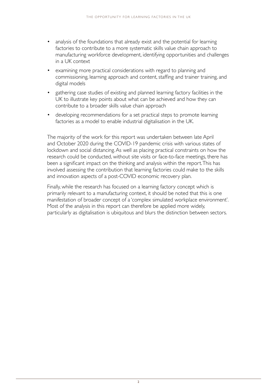- analysis of the foundations that already exist and the potential for learning factories to contribute to a more systematic skills value chain approach to manufacturing workforce development, identifying opportunities and challenges in a UK context
- examining more practical considerations with regard to planning and commissioning, learning approach and content, staffing and trainer training, and digital models
- gathering case studies of existing and planned learning factory facilities in the UK to illustrate key points about what can be achieved and how they can contribute to a broader skills value chain approach
- developing recommendations for a set practical steps to promote learning factories as a model to enable industrial digitalisation in the UK.

The majority of the work for this report was undertaken between late April and October 2020 during the COVID-19 pandemic crisis with various states of lockdown and social distancing. As well as placing practical constraints on how the research could be conducted, without site visits or face-to-face meetings, there has been a significant impact on the thinking and analysis within the report. This has involved assessing the contribution that learning factories could make to the skills and innovation aspects of a post-COVID economic recovery plan.

Finally, while the research has focused on a learning factory concept which is primarily relevant to a manufacturing context, it should be noted that this is one manifestation of broader concept of a 'complex simulated workplace environment'. Most of the analysis in this report can therefore be applied more widely, particularly as digitalisation is ubiquitous and blurs the distinction between sectors.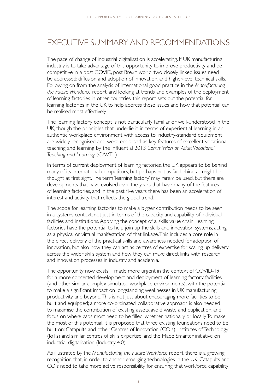## EXECUTIVE SUMMARY AND RECOMMENDATIONS

The pace of change of industrial digitalisation is accelerating. If UK manufacturing industry is to take advantage of this opportunity to improve productivity and be competitive in a post COVID, post Brexit world, two closely linked issues need be addressed: diffusion and adoption of innovation, and higher-level technical skills. Following on from the analysis of international good practice in the *Manufacturing the Future Workforce* report, and looking at trends and examples of the deployment of learning factories in other countries, this report sets out the potential for learning factories in the UK to help address these issues and how that potential can be realised most effectively.

The learning factory concept is not particularly familiar or well-understood in the UK, though the principles that underlie it in terms of experiential learning in an authentic workplace environment with access to industry-standard equipment are widely recognised and were endorsed as key features of excellent vocational teaching and learning by the influential 2013 *Commission on Adult Vocational Teaching and Learning* (CAVTL).

In terms of current deployment of learning factories, the UK appears to be behind many of its international competitors, but perhaps not as far behind as might be thought at first sight. The term 'learning factory' may rarely be used, but there are developments that have evolved over the years that have many of the features of learning factories, and in the past five years there has been an acceleration of interest and activity that reflects the global trend.

The scope for learning factories to make a bigger contribution needs to be seen in a systems context, not just in terms of the capacity and capability of individual facilities and institutions. Applying the concept of a 'skills value chain', learning factories have the potential to help join up the skills and innovation systems, acting as a physical or virtual manifestation of that linkage. This includes a core role in the direct delivery of the practical skills and awareness needed for adoption of innovation, but also how they can act as centres of expertise for scaling up delivery across the wider skills system and how they can make direct links with research and innovation processes in industry and academia.

The opportunity now exists – made more urgent in the context of COVID-19 – for a more concerted development and deployment of learning factory facilities (and other similar complex simulated workplace environments), with the potential to make a significant impact on longstanding weaknesses in UK manufacturing productivity and beyond. This is not just about encouraging more facilities to be built and equipped; a more co-ordinated, collaborative approach is also needed to maximise the contribution of existing assets, avoid waste and duplication, and focus on where gaps most need to be filled, whether nationally or locally. To make the most of this potential, it is proposed that three existing foundations need to be built on: Catapults and other Centres of Innovation (COIs), Institutes of Technology (IoTs) and similar centres of skills expertise, and the Made Smarter initiative on industrial digitalisation (Industry 4.0).

As illustrated by the *Manufacturing the Future Workforce* report, there is a growing recognition that, in order to anchor emerging technologies in the UK, Catapults and COIs need to take more active responsibility for ensuring that workforce capability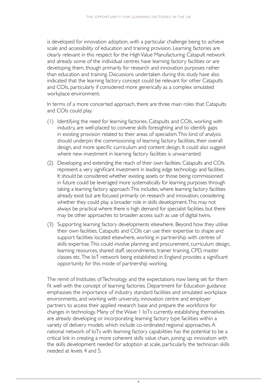is developed for innovation adoption, with a particular challenge being to achieve scale and accessibility of education and training provision. Learning factories are clearly relevant in this respect for the High Value Manufacturing Catapult network and already some of the individual centres have learning factory facilities or are developing them, though primarily for research and innovation purposes rather than education and training. Discussions undertaken during this study have also indicated that the learning factory concept could be relevant for other Catapults and COIs, particularly if considered more generically as a complex simulated workplace environment.

In terms of a more concerted approach, there are three main roles that Catapults and COIs could play.

- (1) Identifying the need for learning factories. Catapults and COIs, working with industry, are well-placed to convene skills foresighting and to identify gaps in existing provision related to their areas of specialism. This kind of analysis should underpin the commissioning of learning factory facilities, their overall design, and more specific curriculum and content design. It could also suggest where new investment in learning factory facilities is unwarranted.
- (2) Developing and extending the reach of their own facilities. Catapults and COIs represent a very significant investment in leading edge technology and facilities. It should be considered whether existing assets or those being commissioned in future could be leveraged more systematically for learning purposes through taking a learning factory approach. This includes, where learning factory facilities already exist but are focused primarily on research and innovation, considering whether they could play a broader role in skills development. This may not always be practical where there is high demand for specialist facilities, but there may be other approaches to broaden access such as use of digital twins.
- (3) Supporting learning factory developments elsewhere. Beyond how they utilise their own facilities, Catapults and COIs can use their expertise to shape and support facilities located elsewhere, working in partnership with centres of skills expertise. This could involve planning and procurement, curriculum design, learning resources, shared staff, secondments, trainer training, CPD, master classes etc. The IoT network being established in England provides a significant opportunity for this mode of partnership working.

The remit of Institutes of Technology and the expectations now being set for them fit well with the concept of learning factories. Department for Education guidance emphasises the importance of industry standard facilities and simulated workplace environments, and working with university, innovation centre and employer partners to access their applied research base and prepare the workforce for changes in technology. Many of the Wave 1 IoTs currently establishing themselves are already developing or incorporating learning factory type facilities within a variety of delivery models which include co-ordinated regional approaches. A national network of IoTs with learning factory capabilities has the potential to be a critical link in creating a more coherent skills value chain, joining up innovation with the skills development needed for adoption at scale, particularly the technician skills needed at levels 4 and 5.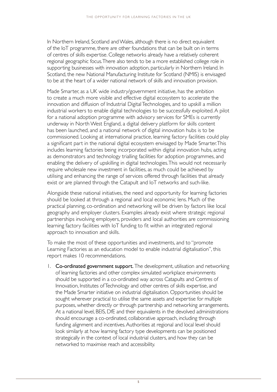In Northern Ireland, Scotland and Wales, although there is no direct equivalent of the IoT programme, there are other foundations that can be built on in terms of centres of skills expertise. College networks already have a relatively coherent regional geographic focus. There also tends to be a more established college role in supporting businesses with innovation adoption, particularly in Northern Ireland. In Scotland, the new National Manufacturing Institute for Scotland (NMIS) is envisaged to be at the heart of a wider national network of skills and innovation provision.

Made Smarter, as a UK wide industry/government initiative, has the ambition to create a much more visible and effective digital ecosystem to accelerate the innovation and diffusion of Industrial Digital Technologies, and to upskill a million industrial workers to enable digital technologies to be successfully exploited. A pilot for a national adoption programme with advisory services for SMEs is currently underway in North West England, a digital delivery platform for skills content has been launched, and a national network of digital innovation hubs is to be commissioned. Looking at international practice, learning factory facilities could play a significant part in the national digital ecosystem envisaged by Made Smarter. This includes learning factories being incorporated within digital innovation hubs, acting as demonstrators and technology trialling facilities for adoption programmes, and enabling the delivery of upskilling in digital technologies. This would not necessarily require wholesale new investment in facilities, as much could be achieved by utilising and enhancing the range of services offered through facilities that already exist or are planned through the Catapult and IoT networks and such-like.

Alongside these national initiatives, the need and opportunity for learning factories should be looked at through a regional and local economic lens. Much of the practical planning, co-ordination and networking will be driven by factors like local geography and employer clusters. Examples already exist where strategic regional partnerships involving employers, providers and local authorities are commissioning learning factory facilities with IoT funding to fit within an integrated regional approach to innovation and skills.

To make the most of these opportunities and investments, and to "promote Learning Factories as an education model to enable industrial digitalisation", this report makes 10 recommendations.

1. Co-ordinated government support. The development, utilisation and networking of learning factories and other complex simulated workplace environments should be supported in a co-ordinated way across Catapults and Centres of Innovation, Institutes of Technology and other centres of skills expertise, and the Made Smarter initiative on industrial digitalisation. Opportunities should be sought wherever practical to utilise the same assets and expertise for multiple purposes, whether directly or through partnership and networking arrangements. At a national level, BEIS, DfE and their equivalents in the devolved administrations should encourage a co-ordinated, collaborative approach, including through funding alignment and incentives. Authorities at regional and local level should look similarly at how learning factory type developments can be positioned strategically in the context of local industrial clusters, and how they can be networked to maximise reach and accessibility.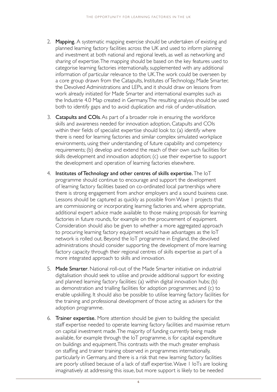- 2. Mapping. A systematic mapping exercise should be undertaken of existing and planned learning factory facilities across the UK and used to inform planning and investment at both national and regional levels, as well as networking and sharing of expertise. The mapping should be based on the key features used to categorise learning factories internationally, supplemented with any additional information of particular relevance to the UK. The work could be overseen by a core group drawn from the Catapults, Institutes of Technology, Made Smarter, the Devolved Administrations and LEPs, and it should draw on lessons from work already initiated for Made Smarter and international examples such as the Industrie 4.0 Map created in Germany. The resulting analysis should be used both to identify gaps and to avoid duplication and risk of under-utilisation.
- 3. Catapults and COIs. As part of a broader role in ensuring the workforce skills and awareness needed for innovation adoption, Catapults and COIs within their fields of specialist expertise should look to: (a) identify where there is need for learning factories and similar complex simulated workplace environments, using their understanding of future capability and competency requirements; (b) develop and extend the reach of their own such facilities for skills development and innovation adoption; (c) use their expertise to support the development and operation of learning factories elsewhere.
- 4. Institutes of Technology and other centres of skills expertise. The IoT programme should continue to encourage and support the development of learning factory facilities based on co-ordinated local partnerships where there is strong engagement from anchor employers and a sound business case. Lessons should be captured as quickly as possible from Wave 1 projects that are commissioning or incorporating learning factories and, where appropriate, additional expert advice made available to those making proposals for learning factories in future rounds, for example on the procurement of equipment. Consideration should also be given to whether a more aggregated approach to procuring learning factory equipment would have advantages as the IoT network is rolled out. Beyond the IoT programme in England, the devolved administrations should consider supporting the development of more learning factory capacity through their regional centres of skills expertise as part of a more integrated approach to skills and innovation.
- 5. Made Smarter. National roll-out of the Made Smarter initiative on industrial digitalisation should seek to utilise and provide additional support for existing and planned learning factory facilities: (a) within digital innovation hubs; (b) as demonstration and trialling facilities for adoption programmes; and (c) to enable upskilling. It should also be possible to utilise learning factory facilities for the training and professional development of those acting as advisers for the adoption programme.
- 6. Trainer expertise. More attention should be given to building the specialist staff expertise needed to operate learning factory facilities and maximise return on capital investment made. The majority of funding currently being made available, for example through the IoT programme, is for capital expenditure on buildings and equipment. This contrasts with the much greater emphasis on staffing and trainer training observed in programmes internationally, particularly in Germany, and there is a risk that new learning factory facilities are poorly utilised because of a lack of staff expertise. Wave 1 IoTs are looking imaginatively at addressing this issue, but more support is likely to be needed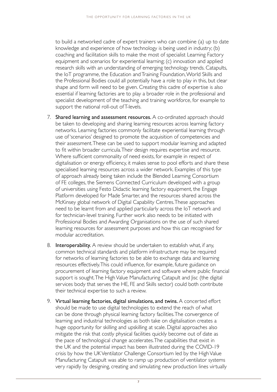to build a networked cadre of expert trainers who can combine (a) up to date knowledge and experience of how technology is being used in industry; (b) coaching and facilitation skills to make the most of specialist Learning Factory equipment and scenarios for experiential learning; (c) innovation and applied research skills with an understanding of emerging technology trends. Catapults, the IoT programme, the Education and Training Foundation, World Skills and the Professional Bodies could all potentially have a role to play in this, but clear shape and form will need to be given. Creating this cadre of expertise is also essential if learning factories are to play a broader role in the professional and specialist development of the teaching and training workforce, for example to support the national roll-out of T-levels.

- 7. Shared learning and assessment resources. A co-ordinated approach should be taken to developing and sharing learning resources across learning factory networks. Learning factories commonly facilitate experiential learning through use of 'scenarios' designed to promote the acquisition of competencies and their assessment. These can be used to support modular learning and adapted to fit within broader curricula. Their design requires expertise and resource. Where sufficient commonality of need exists, for example in respect of digitalisation or energy efficiency, it makes sense to pool efforts and share these specialised learning resources across a wider network. Examples of this type of approach already being taken include the Blended Learning Consortium of FE colleges, the Siemens Connected Curriculum developed with a group of universities using Festo Didactic learning factory equipment, the Engage Platform developed for Made Smarter, and the resources shared across the McKinsey global network of Digital Capability Centres. These approaches need to be learnt from and applied particularly across the IoT network and for technician-level training. Further work also needs to be initiated with Professional Bodies and Awarding Organisations on the use of such shared learning resources for assessment purposes and how this can recognised for modular accreditation.
- 8. Interoperability. A review should be undertaken to establish what, if any, common technical standards and platform infrastructure may be required for networks of learning factories to be able to exchange data and learning resources effectively. This could influence, for example, future guidance on procurement of learning factory equipment and software where public financial support is sought. The High Value Manufacturing Catapult and lisc (the digital services body that serves the HE, FE and Skills sector) could both contribute their technical expertise to such a review.
- 9. Virtual learning factories, digital simulations, and twins. A concerted effort should be made to use digital technologies to extend the reach of what can be done through physical learning factory facilities. The convergence of learning and industrial technologies as both take on digitalisation creates a huge opportunity for skilling and upskilling at scale. Digital approaches also mitigate the risk that costly physical facilities quickly become out of date as the pace of technological change accelerates. The capabilities that exist in the UK and the potential impact has been illustrated during the COVID-19 crisis by how the UK Ventilator Challenge Consortium led by the High Value Manufacturing Catapult was able to ramp up production of ventilator systems very rapidly by designing, creating and simulating new production lines virtually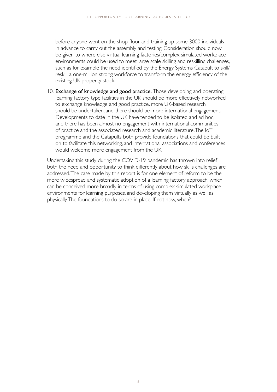before anyone went on the shop floor, and training up some 3000 individuals in advance to carry out the assembly and testing. Consideration should now be given to where else virtual learning factories/complex simulated workplace environments could be used to meet large scale skilling and reskilling challenges, such as for example the need identified by the Energy Systems Catapult to skill/ reskill a one-million strong workforce to transform the energy efficiency of the existing UK property stock.

10. Exchange of knowledge and good practice. Those developing and operating learning factory type facilities in the UK should be more effectively networked to exchange knowledge and good practice, more UK-based research should be undertaken, and there should be more international engagement. Developments to date in the UK have tended to be isolated and ad hoc, and there has been almost no engagement with international communities of practice and the associated research and academic literature. The IoT programme and the Catapults both provide foundations that could be built on to facilitate this networking, and international associations and conferences would welcome more engagement from the UK.

Undertaking this study during the COVID-19 pandemic has thrown into relief both the need and opportunity to think differently about how skills challenges are addressed. The case made by this report is for one element of reform to be the more widespread and systematic adoption of a learning factory approach, which can be conceived more broadly in terms of using complex simulated workplace environments for learning purposes, and developing them virtually as well as physically. The foundations to do so are in place. If not now, when?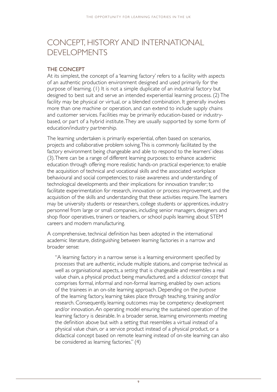## CONCEPT, HISTORY AND INTERNATIONAL DEVELOPMENTS

## THE CONCEPT

At its simplest, the concept of a 'learning factory' refers to a facility with aspects of an authentic production environment designed and used primarily for the purpose of learning. (1) It is not a simple duplicate of an industrial factory but designed to best suit and serve an intended experiential learning process. (2) The facility may be physical or virtual, or a blended combination. It generally involves more than one machine or operation, and can extend to include supply chains and customer services. Facilities may be primarily education-based or industrybased, or part of a hybrid institute. They are usually supported by some form of education/industry partnership.

The learning undertaken is primarily experiential, often based on scenarios, projects and collaborative problem solving. This is commonly facilitated by the factory environment being changeable and able to respond to the learners' ideas (3). There can be a range of different learning purposes: to enhance academic education through offering more realistic hands-on practical experience; to enable the acquisition of technical and vocational skills and the associated workplace behavioural and social competencies; to raise awareness and understanding of technological developments and their implications for innovation transfer; to facilitate experimentation for research, innovation or process improvement, and the acquisition of the skills and understanding that these activities require. The learners may be university students or researchers, college students or apprentices, industry personnel from large or small companies, including senior managers, designers and shop floor operatives, trainers or teachers, or school pupils learning about STEM careers and modern manufacturing.

A comprehensive, technical definition has been adopted in the international academic literature, distinguishing between learning factories in a narrow and broader sense:

"A learning factory in a narrow sense is a learning environment specified by *processes* that are authentic, include multiple stations, and comprise technical as well as organisational aspects, a *setting* that is changeable and resembles a real value chain, a physical product being manufactured, and a *didactical concept* that comprises formal, informal and non-formal learning, enabled by own actions of the trainees in an on-site learning approach. Depending on the *purpose* of the learning factory, learning takes place through teaching, training and/or research. Consequently, learning outcomes may be competency development and/or innovation. An operating model ensuring the sustained operation of the learning factory is desirable. In a broader sense, learning environments meeting the definition above but with a setting that resembles a virtual instead of a physical value chain, or a service product instead of a physical product, or a didactical concept based on remote learning instead of on-site learning can also be considered as learning factories." (4)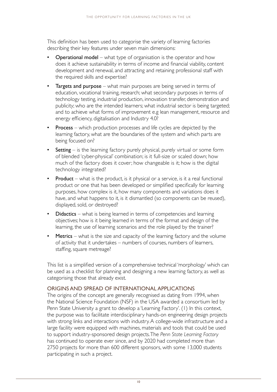This definition has been used to categorise the variety of learning factories describing their key features under seven main dimensions:

- **Operational model** what type of organisation is the operator and how does it achieve sustainability in terms of income and financial viability, content development and renewal, and attracting and retaining professional staff with the required skills and expertise?
- **Targets and purpose** what main purposes are being served in terms of education, vocational training, research; what secondary purposes in terms of technology testing, industrial production, innovation transfer, demonstration and publicity; who are the intended learners; what industrial sector is being targeted; and to achieve what forms of improvement e.g lean management, resource and energy efficiency, digitalisation and Industry 4.0?
- **Process** which production processes and life cycles are depicted by the learning factory, what are the boundaries of the system and which parts are being focused on?
- **Setting** is the learning factory purely physical, purely virtual or some form of blended 'cyber-physical' combination; is it full-size or scaled down; how much of the factory does it cover; how changeable is it; how is the digital technology integrated?
- **Product** what is the product, is it physical or a service, is it a real functional product or one that has been developed or simplified specifically for learning purposes, how complex is it, how many components and variations does it have, and what happens to it, is it dismantled (so components can be reused), displayed, sold, or destroyed?
- $Didactors$  what is being learned in terms of competencies and learning objectives; how is it being learned in terms of the format and design of the learning, the use of learning scenarios and the role played by the trainer?
- **Metrics** what is the size and capacity of the learning factory and the volume of activity that it undertakes – numbers of courses, numbers of learners, staffing, square metreage?

This list is a simplified version of a comprehensive technical 'morphology' which can be used as a checklist for planning and designing a new learning factory, as well as categorising those that already exist.

## ORIGINS AND SPREAD OF INTERNATIONAL APPLICATIONS

The origins of the concept are generally recognised as dating from 1994, when the National Science Foundation (NSF) in the USA awarded a consortium led by Penn State University a grant to develop a 'Learning Factory'. (1) In this context, the purpose was to facilitate interdisciplinary hands-on engineering design projects with strong links and interactions with industry. A college-wide infrastructure and a large facility were equipped with machines, materials and tools that could be used to support industry-sponsored design projects. The *[Penn State Learning Factory](https://www.lf.psu.edu/)* has continued to operate ever since, and by 2020 had completed more than 2750 projects for more than 600 different sponsors, with some 13,000 students participating in such a project.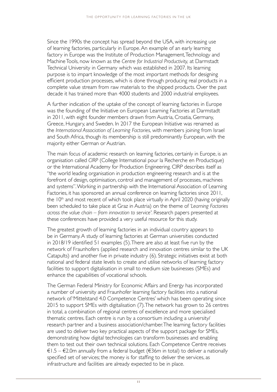Since the 1990s the concept has spread beyond the USA, with increasing use of learning factories, particularly in Europe. An example of an early learning factory in Europe was the Institute of Production Management, Technology and Machine Tools, now known as the *[Centre for Industrial Productivity](https://www.ptw.tu-darmstadt.de/forschung_ptw/gruppen_ptw/center_fuer_industrielle_produktivitaet_cip_5/gruppendarstellung_cip_2/index.en.jsp),* at Darmstadt Technical University in Germany which was established in 2007. Its learning purpose is to impart knowledge of the most important methods for designing efficient production processes, which is done through producing real products in a complete value stream from raw materials to the shipped products. Over the past decade it has trained more than 4000 students and 2000 industrial employees.

A further indication of the uptake of the concept of learning factories in Europe was the founding of the Initiative on European Learning Factories at Darmstadt in 2011, with eight founder members drawn from Austria, Croatia, Germany, Greece, Hungary, and Sweden. In 2017 the European Initiative was renamed as the *[International Association of Learning Factories](http://www.ialf-online.net/),* with members joining from Israel and South Africa, though its membership is still predominantly European, with the majority either German or Austrian.

The main focus of academic research on learning factories, certainly in Europe, is an organisation called *[CIRP](https://www.cirp.net/)* (College International pour la Recherche en Productique) or the International Academy for Production Engineering. CIRP describes itself as "the world leading organisation in production engineering research and is at the forefront of design, optimisation, control and management of processes, machines and systems". Working in partnership with the International Association of Learning Factories, it has sponsored an annual conference on learning factories since 2011, the 10<sup>th</sup> and most recent of which took place virtually in April 2020 (having originally been scheduled to take place at Graz in Austria) on the theme of *['Learning Factories](https://www.sciencedirect.com/journal/procedia-manufacturing/vol/45/suppl/C)  [across the value chain – from innovation to service'.](https://www.sciencedirect.com/journal/procedia-manufacturing/vol/45/suppl/C)* Research papers presented at these conferences have provided a very useful resource for this study.

The greatest growth of learning factories in an individual country appears to be in Germany. A study of learning factories at German universities conducted in 2018/19 identified 51 examples (5). There are also at least five run by the network of Fraunhofers (applied research and innovation centres similar to the UK Catapults) and another five in private industry (6). Strategic initiatives exist at both national and federal state levels to create and utilise networks of learning factory facilities to support digitalisation in small to medium size businesses (SMEs) and enhance the capabilities of vocational schools.

The German Federal Ministry for Economic Affairs and Energy has incorporated a number of university and Fraunhofer learning factory facilities into a national network of 'Mittelstand 4.0 Competence Centres' which has been operating since 2015 to support SMEs with digitalisation (7). The network has grown to 26 centres in total, a combination of regional centres of excellence and more specialised thematic centres. Each centre is run by a consortium including a university/ research partner and a business association/chamber. The learning factory facilities are used to deliver two key practical aspects of the support package for SMEs, demonstrating how digital technologies can transform businesses and enabling them to test out their own technical solutions. Each Competence Centre receives  $€1.5 - €2.0m$  annually from a federal budget (€36m in total) to deliver a nationally specified set of services; the money is for staffing to deliver the services, as infrastructure and facilities are already expected to be in place.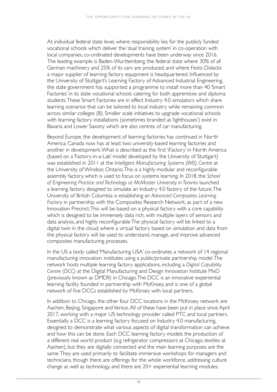At individual federal state level, where responsibility lies for the publicly funded vocational schools which deliver the 'dual training system' in co-operation with local companies, co-ordinated developments have been underway since 2016. The leading example is Baden-Wurttemberg, the federal state where 30% of all German machinery and 25% of its cars are produced, and where Festo Didactic a major supplier of learning factory equipment is headquartered. Influenced by the University of Stuttgart's Learning Factory of Advanced Industrial Engineering, the state government has supported a programme to install more than 40 'Smart Factories' in its state vocational schools catering for both apprentices and diploma students. These Smart Factories are in effect Industry 4.0 simulators which share learning scenarios that can be tailored to local industry while remaining common across similar colleges (8). Smaller scale initiatives to upgrade vocational schools with learning factory installations (sometimes branded as 'lighthouses') exist in Bavaria and Lower Saxony which are also centres of car manufacturing.

Beyond Europe, the development of learning factories has continued in North America. Canada now has at least two university-based learning factories and another in development. What is described as the first 'iFactory' in North America (based on a 'Factory-in-a-Lab' model developed by the University of Stuttgart) was established in 2011 at the *[Intelligent Manufacturing Systems \(IMS\) Centre](https://www.uwindsor.ca/intelligent-manufacturing-systems/)* at the University of Windsor, Ontario. This is a highly modular and reconfigurable assembly factory, which is used to focus on systems learning. In 2018, the *[School](https://www.eng.mcmaster.ca/sept/practice/learning-factory)  [of Engineering Practice and Technology at McMaster University in Toronto](https://www.eng.mcmaster.ca/sept/practice/learning-factory)* launched a learning factory designed to simulate an Industry 4.0 factory of the future. The [University of British Columbia](https://crn.ubc.ca/projects/learning-factory/) is establishing an *[Advanced Composites Learning](https://crn.ubc.ca/projects/learning-factory/)  [Factory](https://crn.ubc.ca/projects/learning-factory/)* in partnership with the Composites Research Network, as part of a new Innovation Precinct. This will be based on a physical factory with a core capability which is designed to be immensely data rich, with multiple layers of sensors and data analysis, and highly reconfigurable The physical factory will be linked to a digital twin in the cloud, where a virtual factory based on simulation and data from the physical factory will be used to understand, manage, and improve advanced composites manufacturing processes.

In the US a body called 'Manufacturing USA' co-ordinates a network of 14 regional manufacturing innovation institutes using a public/private partnership model. The network hosts multiple learning factory applications, including a *[Digital Capability](https://www.mxdusa.org/)  [Centre \(DCC\)](https://www.mxdusa.org/)* at the Digital Manufacturing and Design Innovation Institute MxD (previously known as DMDII) in Chicago. The DCC is an innovative experiential learning facility founded in partnership with McKinsey, and is one of a global network of five DCCs established by McKinsey with local partners.

In addition to Chicago, the other four DCC locations in the McKinsey network are Aachen, Beijing, Singapore and Venice. All of these have been put in place since April 2017, working with a major US technology provider called PTC and local partners. Essentially a DCC is a learning factory focused on Industry 4.0 manufacturing, designed to demonstrate what various aspects of digital transformation can achieve and how this can be done. Each DCC learning factory models the production of a different real world product (e.g refrigerator compressors at Chicago, textiles at Aachen), but they are digitally connected and the main learning purposes are the same. They are used primarily to facilitate immersive workshops for managers and technicians, though there are offerings for the whole workforce, addressing culture change as well as technology, and there are 20+ experiential learning modules.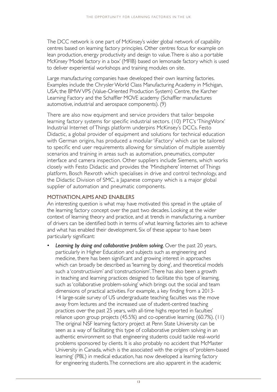The DCC network is one part of [McKinsey's wider global network of capability](https://www.mckinsey.com/business-functions/learning-programs-for-clients/overview/mckinsey-capability-centers)  [centres](https://www.mckinsey.com/business-functions/learning-programs-for-clients/overview/mckinsey-capability-centers) based on learning factory principles. Other centres focus for example on lean production, energy productivity and design to value. There is also a portable [McKinsey 'Model factory in a box](https://capability-center.mckinsey.com/model-factory-in-a-box)' (MFIB) based on lemonade factory which is used to deliver experiential workshops and training modules on site.

Large manufacturing companies have developed their own learning factories. Examples include the Chrysler World Class Manufacturing Academy in Michigan, USA; the BMW VPS (Value-Oriented Production System) Centre, the Karcher Learning Factory and the Schaffler MOVE academy (Schaffler manufactures automotive, industrial and aerospace components). (9)

There are also now equipment and service providers that tailor bespoke learning factory systems for specific industrial sectors. (10) PTC's ['ThingWorx](https://www.ptc.com/en/industries/manufacturing)' Industrial Internet of Things platform underpins McKinsey's DCCs. [Festo](https://www.festo-didactic.com/int-en/)  [Didactic,](https://www.festo-didactic.com/int-en/) a global provider of equipment and solutions for technical education with German origins, has produced a modular 'iFactory' which can be tailored to specific end user requirements allowing for simulation of multiple assembly scenarios and training in areas such as automation, pneumatics, computer interface and camera inspection. Other suppliers include Siemens, which works closely with Festo Didactic and provides the ['Mindsphere'](https://new.siemens.com/uk/en/products/software/mindsphere.html) Internet of Things platform, [Bosch Rexroth](https://www.boschrexroth.com/en/gb/training/training-systems/training-systems) which specialises in drive and control technology, and the [Didactic Division of SMC](https://www.smctraining.com/en/webpage/indexpage/55), a Japanese company which is a major global supplier of automation and pneumatic components.

## MOTIVATION, AIMS AND ENABLERS

An interesting question is what may have motivated this spread in the uptake of the learning factory concept over the past two decades. Looking at the wider context of learning theory and practice, and at trends in manufacturing, a number of drivers can be identified both in terms of what learning factories aim to achieve and what has enabled their development. Six of these appear to have been particularly significant:

*Learning by doing and collaborative problem solving. Over the past 20 years,* particularly in Higher Education and subjects such as engineering and medicine, there has been significant and growing interest in approaches which can broadly be described as 'learning by doing', and theoretical models such a 'constructivism' and 'constructionism'. There has also been a growth in teaching and learning practices designed to facilitate this type of learning, such as 'collaborative problem-solving' which brings out the social and team dimensions of practical activities. For example, a key finding from a 2013- 14 large-scale survey of US undergraduate teaching faculties was the move away from lectures and the increased use of student-centred teaching practices over the past 25 years, with all-time highs reported in faculties' reliance upon group projects (45.5%) and co-operative learning (60.7%). (11) The original NSF learning factory project at Penn State University can be seen as a way of facilitating this type of collaborative problem solving in an authentic environment so that engineering students could tackle real-world problems sponsored by clients. It is also probably no accident that McMaster University in Canada, which is the associated with the origins of 'problem-based learning' (PBL) in medical education, has now developed a learning factory for engineering students. The connections are also apparent in the academic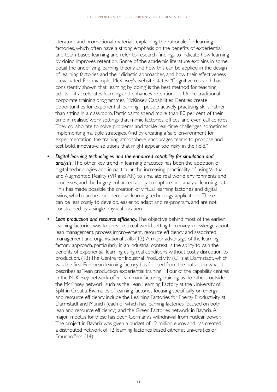literature and promotional materials explaining the rationale for learning factories, which often have a strong emphasis on the benefits of experiential and team-based learning and refer to research findings to indicate how learning by doing improves retention. Some of the academic literature explains in some detail the underlying learning theory and how this can be applied in the design of learning factories and their didactic approaches, and how their effectiveness is evaluated. For example, [McKinsey's website](https://www.mckinsey.com/business-functions/learning-programs-for-clients/overview/mckinsey-capability-centers) states: "Cognitive research has consistently shown that 'learning by doing' is the best method for teaching adults—it accelerates learning and enhances retention. … Unlike traditional corporate training programmes, McKinsey Capabilities Centres create opportunities for experiential learning—people actively practising skills, rather than sitting in a classroom. Participants spend more than 80 per cent of their time in realistic work settings that mimic factories, offices, and even call centres. They collaborate to solve problems and tackle real-time challenges, sometimes implementing multiple strategies. And by creating a 'safe' environment for experimentation, the training atmosphere encourages teams to propose and test bold, innovative solutions that might appear too risky in the field."

- *• Digital learning technologies and the enhanced capability for simulation and analysis.* The other key trend in learning practices has been the adoption of digital technologies and in particular the increasing practicality of using Virtual and Augmented Reality (VR and AR) to simulate real world environments and processes, and the hugely enhanced ability to capture and analyse learning data. This has made possible the creation of virtual learning factories and digital twins, which can be considered as learning technology applications. These can be less costly to develop, easier to adapt and re-program, and are not constrained by a single physical location.
- *Lean production and resource efficiency.* The objective behind most of the earlier learning factories was to provide a real world setting to convey knowledge about lean management, process improvement, resource efficiency and associated management and organisational skills (12). A major advantage of the learning factory approach, particularly in an industrial context, is the ability to gain the benefits of experiential learning using real conditions without costly disruption to production. (13) The [Centre for Industrial Productivity \(CiP\) at Darmstadt,](https://www.youtube.com/watch?v=FBF0e63I7Pg) which was the first European learning factory has focused from the outset on what it describes as "lean production experiential training". Four of the capability centres in the [McKinsey network](https://www.mckinsey.com/business-functions/operations/how-we-help-clients/capability-center-network/overview) offer lean manufacturing training, as do others outside the McKinsey network, such as the [Lean Learning Factory at the University of](https://ialf-online.net/index.php/component/content/article/17-members/42-lean-learning-factory.html?Itemid=101)  [Split in Croatia.](https://ialf-online.net/index.php/component/content/article/17-members/42-lean-learning-factory.html?Itemid=101) Examples of learning factories focusing specifically on energy and resource efficiency include the Learning Factories for Energy Productivity at Darmstadt and Munich (each of which has learning factories focused on both lean and resource efficiency) and the Green Factories network in Bavaria. A major impetus for these has been Germany's withdrawal from nuclear power. The project in Bavaria was given a budget of 12 million euros and has created a distributed network of 12 learning factories based either at universities or Fraunhoffers. (14)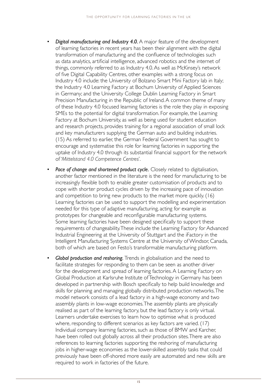- *• Digital manufacturing and Industry 4.0.* A major feature of the development of learning factories in recent years has been their alignment with the digital transformation of manufacturing and the confluence of technologies such as data analytics, artificial intelligence, advanced robotics and the internet of things, commonly referred to as Industry 4.0. As well as McKinsey's network of five Digital Capability Centres, other examples with a strong focus on Industry 4.0 include: the [University of Bolzano Smart Mini Factory lab](https://www.unibz.it/en/faculties/sciencetechnology/research/industrial-engineering-and-automation/mini-factory-lab/) in Italy; the Industry 4.0 Learning Factory at Bochum University of Applied Sciences in Germany; and the University College Dublin Learning Factory in Smart Precision Manufacturing in the Republic of Ireland. A common theme of many of these Industry 4.0 focused learning factories is the role they play in exposing SMEs to the potential for digital transformation. For example, the Learning Factory at Bochum University, as well as being used for student education and research projects, provides training for a regional association of small lock and key manufacturers supplying the German auto and building industries. (15) As referred to earlier, the German Federal Government has sought to encourage and systematise this role for learning factories in supporting the uptake of Industry 4.0 through its substantial financial support for the network of '*[Mittelstand 4.0 Competence Centres](https://www.bmwi.de/Redaktion/EN/Dossier/Industrie-40/putting-industrie-4-0-into-practice.html)*'.
- *• Pace of change and shortened product cycle.* Closely related to digitalisation, another factor mentioned in the literature is the need for manufacturing to be increasingly flexible both to enable greater customisation of products and to cope with shorter product cycles driven by the increasing pace of innovation and competition to bring new products to the market more quickly. (16) Learning factories can be used to support the modelling and experimentation needed for this type of adaptive manufacturing, acting for example as prototypes for changeable and reconfigurable manufacturing systems. Some learning factories have been designed specifically to support these requirements of changeability. These include the [Learning Factory for Advanced](https://www.festo-didactic.com/int-en/news/innovative-training-factory-for-advanced-industrial-engineering-aie-..htm?fbid=aW50LmVuLjU1Ny4xNy4xNi4zMDg2)  [Industrial Engineering at the University of Stuttgart](https://www.festo-didactic.com/int-en/news/innovative-training-factory-for-advanced-industrial-engineering-aie-..htm?fbid=aW50LmVuLjU1Ny4xNy4xNi4zMDg2) and the [iFactory in the](https://www.uwindsor.ca/intelligent-manufacturing-systems/)  [Intelligent Manufacturing Systems Centre at the University of Windsor, Canada,](https://www.uwindsor.ca/intelligent-manufacturing-systems/) both of which are based on Festo's transformable manufacturing platform.
- *• Global production and reshoring.* Trends in globalisation and the need to facilitate strategies for responding to them can be seen as another driver for the development and spread of learning factories. A [Learning Factory on](https://www.kit.edu/kit/english/pi_2016_027_unique-learning-factory-for-global-production-at-kit.php)  [Global Production at Karlsruhe Institute of Technology in Germany](https://www.kit.edu/kit/english/pi_2016_027_unique-learning-factory-for-global-production-at-kit.php) has been developed in partnership with Bosch specifically to help build knowledge and skills for planning and managing globally distributed production networks. The model network consists of a lead factory in a high-wage economy and two assembly plants in low-wage economies. The assembly plants are physically realised as part of the learning factory, but the lead factory is only virtual. Learners undertake exercises to learn how to optimise what is produced where, responding to different scenarios as key factors are varied. (17) Individual company learning factories, such as those of BMW and Karcher, have been rolled out globally across all their production sites. There are also references to learning factories supporting the reshoring of manufacturing jobs in higher-wage economies as the lower-skilled assembly tasks that could previously have been off-shored more easily are automated and new skills are required to work in factories of the future.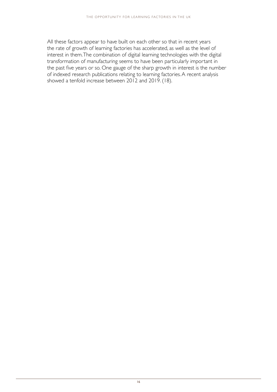All these factors appear to have built on each other so that in recent years the rate of growth of learning factories has accelerated, as well as the level of interest in them. The combination of digital learning technologies with the digital transformation of manufacturing seems to have been particularly important in the past five years or so. One gauge of the sharp growth in interest is the number of indexed research publications relating to learning factories. A recent analysis showed a tenfold increase between 2012 and 2019. (18).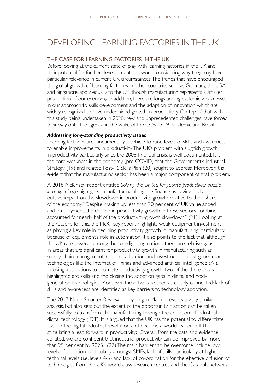## DEVELOPING LEARNING FACTORIES IN THE UK

## THE CASE FOR LEARNING FACTORIES IN THE UK

Before looking at the current state of play with learning factories in the UK and their potential for further development, it is worth considering why they may have particular relevance in current UK circumstances. The trends that have encouraged the global growth of learning factories in other countries such as Germany, the USA and Singapore, apply equally to the UK, though manufacturing represents a smaller proportion of our economy. In addition, there are longstanding, systemic weaknesses in our approach to skills development and the adoption of innovation which are widely recognised to have undermined growth in productivity. On top of that, with this study being undertaken in 2020, new and unprecedented challenges have forced their way onto the agenda in the wake of the COVID-19 pandemic and Brexit.

### *Addressing long-standing productivity issues*

Learning factories are fundamentally a vehicle to raise levels of skills and awareness to enable improvements in productivity. The UK's problem with sluggish growth in productivity, particularly since the 2008 financial crisis, is well documented. It is the core weakness in the economy (pre-COVID) that the Government's Industrial Strategy (19) and related Post-16 Skills Plan (20) sought to address. Moreover, it is evident that the manufacturing sector has been a major component of that problem.

A 2018 McKinsey report entitled *Solving the United Kingdom's productivity puzzle in a digital age* highlights manufacturing alongside finance as having had an outsize impact on the slowdown in productivity growth relative to their share of the economy. "Despite making up less than 20 per cent of UK value added and employment, the decline in productivity growth in these sectors combined accounted for nearly half of the productivity-growth slowdown." (21) Looking at the reasons for this, the McKinsey report highlights weak equipment investment as playing a key role in declining productivity growth in manufacturing, particularly because of equipment's role in automation. It also points to the fact that, although the UK ranks overall among the top digitising nations, there are relative gaps in areas that are significant for productivity growth in manufacturing such as supply-chain management, robotics adoption, and investment in next generation technologies like the Internet of Things and advanced artificial intelligence (AI). Looking at solutions to promote productivity growth, two of the three areas highlighted are skills and the closing the adoption gaps in digital and nextgeneration technologies. Moreover, these two are seen as closely connected: lack of skills and awareness are identified as key barriers to technology adoption.

The 2017 Made Smarter Review led by Jurgen Maier presents a very similar analysis, but also sets out the extent of the opportunity if action can be taken successfully to transform UK manufacturing through the adoption of industrial digital technology (IDT). It is argued that the UK has the potential to differentiate itself in the digital industrial revolution and become a world leader in IDT, stimulating a leap forward in productivity: "Overall, from the data and evidence collated, we are confident that industrial productivity can be improved by more than 25 per cent by 2025." (22) The main barriers to be overcome include low levels of adoption particularly amongst SMEs, lack of skills particularly at higher technical levels (i.e. levels 4/5) and lack of co-ordination for the effective diffusion of technologies from the UK's world class research centres and the Catapult network.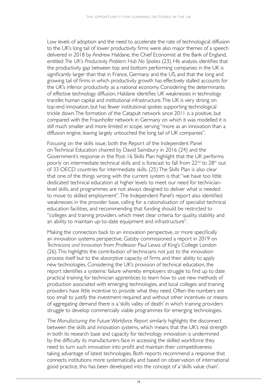Low levels of adoption and the need to accelerate the rate of technological diffusion to the UK's long tail of lower productivity firms were also major themes of a speech delivered in 2018 by Andrew Haldane, the Chief Economist at the Bank of England, entitled *The UK's Productivity Problem: Hub No Spokes* (23). HIs analysis identifies that the productivity gap between top and bottom performing companies in the UK is significantly larger than that in France, Germany and the US, and that the long and growing tail of firms in which productivity growth has effectively stalled accounts for the UK's inferior productivity as a national economy. Considering the determinants of effective technology diffusion, Haldane identifies UK weaknesses in technology transfer, human capital and institutional infrastructure. The UK is very strong on top-end innovation, but has fewer institutional spokes supporting technological trickle down. The formation of the Catapult network since 2011 is a positive, but compared with the Fraunhofer network in Germany on which it was modelled it is still much smaller and more limited in scope, serving "more as an innovation than a diffusion engine, leaving largely untouched the long tail of UK companies".

Focusing on the skills issue, both the Report of the Independent Panel on Technical Education chaired by David Sainsbury in 2016 (24) and the Government's response in the Post-16 Skills Plan highlight that the UK performs poorly on intermediate technical skills and is forecast to fall from 22<sup>nd</sup> to 28<sup>th</sup> out of 33 OECD countries for intermediate skills. (25) The Skills Plan is also clear that one of the things wrong with the current system is that "we have too little dedicated technical education at higher levels to meet our need for technicianlevel skills, and programmes are not always designed to deliver what is needed to move to skilled employment". The Independent Panel's report also identified weaknesses in the provider base, calling for a rationalisation of specialist technical education facilities, and recommending that funding should be restricted to "colleges and training providers which meet clear criteria for quality, stability and an ability to maintain up-to-date equipment and infrastructure".

Making the connection back to an innovation perspective, or more specifically an innovation systems perspective, Gatsby commissioned a report in 2019 on *Technicians and Innovation* from Professor Paul Lewis of King's College London (26). This highlights the contribution of technicians not just to the innovation process itself but to the absorptive capacity of firms and their ability to apply new technologies. Considering the UK's provision of technical education, the report identifies a systemic failure whereby employers struggle to find up to date practical training for technician apprentices to learn how to use new methods of production associated with emerging technologies, and local colleges and training providers have little incentive to provide what they need. Often the numbers are too small to justify the investment required and without other incentives or means of aggregating demand there is a 'skills valley of death' in which training providers struggle to develop commercially viable programmes for emerging technologies.

The *Manufacturing the Future Workforce Report* similarly highlights the disconnect between the skills and innovation systems, which means that the UK's real strength in both its research base and capacity for technology innovation is undermined by the difficulty its manufacturers face in accessing the skilled workforce they need to turn such innovation into profit and maintain their competitiveness taking advantage of latest technologies. Both reports recommend a response that connects institutions more systematically, and based on observation of international good practice, this has been developed into the concept of a 'skills value chain'.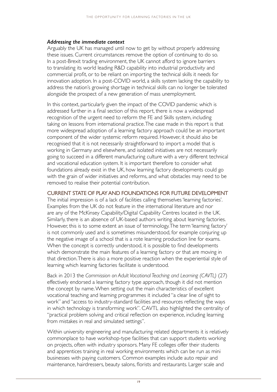## *Addressing the immediate context*

Arguably the UK has managed until now to get by without properly addressing these issues. Current circumstances remove the option of continuing to do so. In a post-Brexit trading environment, the UK cannot afford to ignore barriers to translating its world leading R&D capability into industrial productivity and commercial profit, or to be reliant on importing the technical skills it needs for innovation adoption. In a post-COVID world, a skills system lacking the capability to address the nation's growing shortage in technical skills can no longer be tolerated alongside the prospect of a new generation of mass unemployment.

In this context, particularly given the impact of the COVID pandemic which is addressed further in a final section of this report, there is now a widespread recognition of the urgent need to reform the FE and Skills system, including taking on lessons from international practice. The case made in this report is that more widespread adoption of a learning factory approach could be an important component of the wider systemic reform required. However, it should also be recognised that it is not necessarily straightforward to import a model that is working in Germany and elsewhere, and isolated initiatives are not necessarily going to succeed in a different manufacturing culture with a very different technical and vocational education system. It is important therefore to consider what foundations already exist in the UK, how learning factory developments could go with the grain of wider initiatives and reforms, and what obstacles may need to be removed to realise their potential contribution.

## CURRENT STATE OF PLAY AND FOUNDATIONS FOR FUTURE DEVELOPMENT

The initial impression is of a lack of facilities calling themselves 'learning factories'. Examples from the UK do not feature in the international literature and nor are any of the McKinsey Capability/Digital Capability Centres located in the UK. Similarly, there is an absence of UK-based authors writing about learning factories. However, this is to some extent an issue of terminology. The term 'learning factory' is not commonly used and is sometimes misunderstood, for example conjuring up the negative image of a school that is a rote learning production line for exams. When the concept is correctly understood, it is possible to find developments which demonstrate the main features of a learning factory or that are moving in that direction. There is also a more positive reaction when the experiential style of learning which learning factories facilitate is understood.

Back in 2013 the *Commission on Adult Vocational Teaching and Learning (CAVTL)* (27) effectively endorsed a learning factory type approach, though it did not mention the concept by name. When setting out the main characteristics of excellent vocational teaching and learning programmes it included "a clear line of sight to work" and "access to industry-standard facilities and resources reflecting the ways in which technology is transforming work". CAVTL also highlighted the centrality of "practical problem solving and critical reflection on experience, including learning from mistakes in real and simulated settings".

Within university engineering and manufacturing related departments it is relatively commonplace to have workshop-type facilities that can support students working on projects, often with industry sponsors. Many FE colleges offer their students and apprentices training in real working environments which can be run as mini businesses with paying customers. Common examples include auto repair and maintenance, hairdressers, beauty salons, florists and restaurants. Larger scale and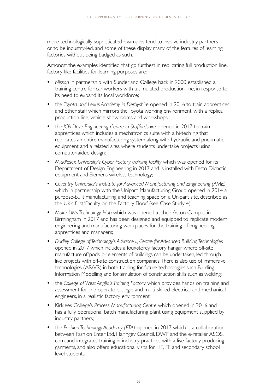more technologically sophisticated examples tend to involve industry partners or to be industry-led, and some of these display many of the features of learning factories without being badged as such.

Amongst the examples identified that go furthest in replicating full production line, factory-like facilities for learning purposes are:

- [Nissan](https://www.theengineer.co.uk/inspiration/nissan-teams-up-for-training/) in partnership with Sunderland College back in 2000 established a training centre for car workers with a simulated production line, in response to its need to expand its local workforce;
- the *[Toyota and Lexus Academy in Derbyshire](https://blog.toyota.co.uk/toyota-training-academy)* opened in 2016 to train apprentices and other staff which mirrors the Toyota working environment, with a replica production line, vehicle showrooms and workshops;
- the *[JCB Dove Engineering Centre in Staffordshire](https://www.jcb.com/en-gb/news/2018/02/new-apprentice-centre-can-play-lead-role-for-industry)* opened in 2017 to train apprentices which includes a mechatronics suite with a hi-tech rig that replicates an entire manufacturing system along with hydraulic and pneumatic equipment and a related area where students undertake projects using computer-aided design;
- *[Middlesex University's Cyber Factory training facility](https://www.mdx.ac.uk/news/2017/02/first-uk-cyber-factory-training-facility-installed-at-middlesex-university)* which was opened for its Department of Design Engineering in 2017 and is installed with Festo Didactic equipment and Siemens wireless technology;
- *[Coventry University's Institute for Advanced Manufacturing and Engineering \(AME\)](https://www.coventry.ac.uk/ame/the-institute/)* which in partnership with the Unipart Manufacturing Group opened in 2014 a purpose-built manufacturing and teaching space on a Unipart site, described as the UK's first 'Faculty on the Factory Floor' (see Case Study 4);
- [Make UK's Technology Hub](https://www.makeuk.org/insights/blogs/the-eef-technology-hub-uks-premiere-manufacturing-and-engineering-training-centre) which was opened at their Aston Campus in Birmingham in 2017 and has been designed and equipped to replicate modern engineering and manufacturing workplaces for the training of engineering apprentices and managers;
- [Dudley College of Technology's Advance II, Centre for Advanced Building Technologies](https://www.dudleycol.ac.uk/Dudley-Learning-Quarter/Dudley-Advance-II) opened in 2017 which includes a four-storey factory hangar where off-site manufacture of 'pods' or elements of buildings can be undertaken, led through live projects with off-site construction companies. There is also use of immersive technologies (AR/VR) in both training for future technologies such Building Information Modelling and for simulation of construction skills such as welding;
- the *[College of West Anglia's Training Factory](https://cwa.ac.uk/employers)* which provides hands on training and assessment for line operators, single and multi-skilled electrical and mechanical engineers, in a realistic factory environment;
- Kirklees College's [Process Manufacturing Centre](https://www.kirkleescollege.ac.uk/wp-content/uploads/2020/07/PMC-Digital-Brochure.pdf) which opened in 2016 and has a fully operational batch manufacturing plant using equipment supplied by industry partners;
- the *Fashion Technology Academy (FTA)* opened in 2017 which is a collaboration between Fashion Enter Ltd, Haringey Council, DWP and the e-retailer ASOS. com, and integrates training in industry practices with a live factory producing garments, and also offers educational visits for HE, FE and secondary school level students;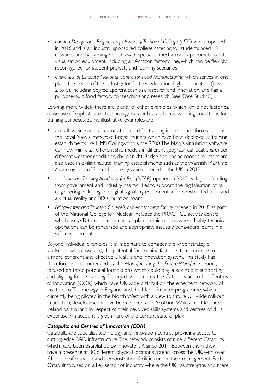- [London Design and Engineering University Technical College \(UTC\)](https://www.ldeutc.co.uk/) which opened in 2016 and is an industry sponsored college catering for students aged 13 upwards, and has a range of labs with specialist mechatronics, pneumatics and visualisation equipment, including an Amazon factory line, which can be flexibly reconfigured for student projects and learning scenarios;
- [University of Lincoln's National Centre for Food Manufacturing](https://www.youtube.com/watch?time_continue=18&v=YLFLk2Pwgis) which serves in one place the needs of the industry for further education, higher education (levels 2 to 6), including degree apprenticeships), research and innovation, and has a purpose-built food factory for teaching and research (see Case Study 5).

Looking more widely, there are plenty of other examples, which while not factories, make use of sophisticated technology to simulate authentic working conditions for training purposes. Some illustrative examples are:

- aircraft, vehicle and ship simulators used for training in the armed forces, such as the Royal Navy's immersive bridge trainers which have been deployed at training establishments like [HMS Collingwood](https://www.bbc.co.uk/news/av/uk-england-hampshire-20546202) since 2000. The Navy's simulation software can now mimic 21 different ship models in different geographical locations, under different weather conditions, day or night. Bridge and engine room simulators are also used in civilian nautical training establishments such as the [Warsash Maritime](https://www.warsashacademy.co.uk/facilities/bridge-simulators-and-ecdis-suites/overview.aspx)  [Academy](https://www.warsashacademy.co.uk/facilities/bridge-simulators-and-ecdis-suites/overview.aspx), part of Solent University, which opened in the UK in 2019;
- the *National Training Academy for Rail (NTAR)* opened in 2015 with joint funding from government and industry has facilities to support the digitalisation of rail engineering including the digital signalling equipment, a de-constructed train and a virtual reality and 3D simulation room;
- [Bridgewater and Taunton College's nuclear training facility](https://www.btc.ac.uk/the-college/campuses/cannington-campus/national-college-nuclear-southern-hub/) opened in 2018 as part of the National College for Nuclear includes the [PRACTICE activity centre](https://www.ufi.co.uk/projects/practice) which uses VR to replicate a nuclear plant in microcosm where highly technical operations can be rehearsed and appropriate industry behaviours learnt in a safe environment.

Beyond individual examples, it is important to consider the wider strategic landscape when assessing the potential for learning factories to contribute to a more coherent and effective UK skills and innovation system. This study has therefore, as recommended by the *Manufacturing the Future Workforce* report, focused on three potential foundations which could play a key role in supporting and aligning future learning factory developments: the Catapults and other Centres of Innovation (COIs) which have UK-wide distribution; the emergent network of Institutes of Technology in England; and the Made Smarter programme, which is currently being piloted in the North West with a view to future UK wide roll-out. In addition, developments have been looked at in Scotland, Wales and Northern Ireland particularly in respect of their devolved skills systems and centres of skills expertise. An account is given here of the current state of play.

## *Catapults and Centres of Innovation (COIs)*

Catapults are specialist technology and innovation centres providing access to cutting-edge R&D infrastructure. The network consists of nine different Catapults which have been established by Innovate UK since 2011. Between them they have a presence at 30 different physical locations spread across the UK, with over £1 billion of research and demonstration facilities under their management. Each Catapult focuses on a key sector of industry where the UK has strengths and there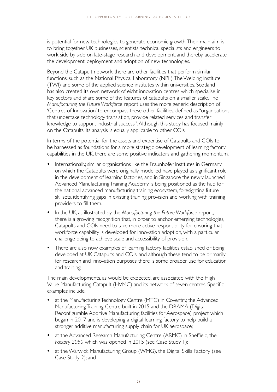is potential for new technologies to generate economic growth. Their main aim is to bring together UK businesses, scientists, technical specialists and engineers to work side by side on late-stage research and development, and thereby accelerate the development, deployment and adoption of new technologies.

Beyond the Catapult network, there are other facilities that perform similar functions, such as the National Physical Laboratory (NPL), The Welding Institute (TWI) and some of the applied science institutes within universities. Scotland has also created its own network of eight innovation centres which specialise in key sectors and share some of the features of catapults on a smaller scale. The *Manufacturing the Future Workforce* report uses the more generic description of 'Centres of Innovation' to encompass these other facilities, defined as "organisations that undertake technology translation, provide related services and transfer knowledge to support industrial success". Although this study has focused mainly on the Catapults, its analysis is equally applicable to other COIs.

In terms of the potential for the assets and expertise of Catapults and COIs to be harnessed as foundations for a more strategic development of learning factory capabilities in the UK, there are some positive indicators and gathering momentum.

- Internationally, similar organisations like the Fraunhofer Institutes in Germany on which the Catapults were originally modelled have played as significant role in the development of learning factories, and in Singapore the newly launched [Advanced Manufacturing Training Academy](https://www.youtube.com/watch?v=JugpwYSiEoM) is being positioned as the hub for the national advanced manufacturing training ecosystem, foresighting future skillsets, identifying gaps in existing training provision and working with training providers to fill them.
- In the UK, as illustrated by the *Manufacturing the Future Workforce report*, there is a growing recognition that, in order to anchor emerging technologies, Catapults and COIs need to take more active responsibility for ensuring that workforce capability is developed for innovation adoption, with a particular challenge being to achieve scale and accessibility of provision.
- There are also now examples of learning factory facilities established or being developed at UK Catapults and COIs, and although these tend to be primarily for research and innovation purposes there is some broader use for education and training.

The main developments, as would be expected, are associated with the High Value Manufacturing Catapult (HVMC) and its network of seven centres. Specific examples include:

- at the Manufacturing Technology Centre (MTC) in Coventry, the Advanced [Manufacturing Training Centre](https://the-amtc.co.uk/training/train-at-mtc/) built in 2015 and the [DRAMA \(Digital](http://ncam.the-mtc.org/drama/overview)  [Reconfigurable Additive Manufacturing facilities for Aerospace\) project](http://ncam.the-mtc.org/drama/overview) which began in 2017 and is developing a digital learning factory to help build a stronger additive manufacturing supply chain for UK aerospace;
- at the Advanced Research Manufacturing Centre (ARMC) in Sheffield, the *[Factory 2050](https://www.amrc.co.uk/facilities/factory-2050)* which was opened in 2015 (see Case Study 1);
- at the Warwick Manufacturing Group (WMG), the Digital Skills Factory (see Case Study 2); and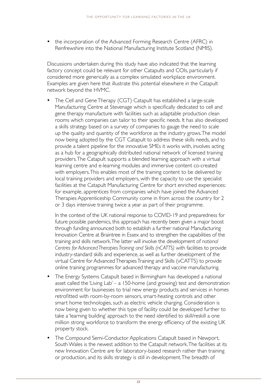the incorporation of the Advanced Forming Research Centre (AFRC) in Renfrewshire into the [National Manufacturing Institute Scotland \(NMIS\)](file:///C:\Users\stuar\AppData\Roaming\Microsoft\Word\National%20Manufacturing%20Institute%20Scotland%20(NMIS)).

Discussions undertaken during this study have also indicated that the learning factory concept could be relevant for other Catapults and COIs, particularly if considered more generically as a complex simulated workplace environment. Examples are given here that illustrate this potential elsewhere in the Catapult network beyond the HVMC.

The Cell and Gene Therapy (CGT) Catapult has established a large-scale Manufacturing Centre at Stevenage which is specifically dedicated to cell and gene therapy manufacture with facilities such as adaptable production clean rooms which companies can tailor to their specific needs. It has also developed a skills strategy based on a survey of companies to gauge the need to scale up the quality and quantity of the workforce as the industry grows. The model now being adopted by the CGT Catapult to address these skills needs, and to provide a talent pipeline for the innovative SMEs it works with, involves acting as a hub for a geographically distributed national network of licensed training providers. The Catapult supports a blended learning approach with a virtual learning centre and e-learning modules and immersive content co-created with employers. This enables most of the training content to be delivered by local training providers and employers, with the capacity to use the specialist facilities at the Catapult Manufacturing Centre for short enriched experiences: for example, apprentices from companies which have joined the Advanced Therapies Apprenticeship Community come in from across the country for 2 or 3 days intensive training twice a year as part of their programme.

In the context of the UK national response to COVID-19 and preparedness for future possible pandemics, this approach has recently been given a major boost through funding announced both to establish a further [national Manufacturing](https://ct.catapult.org.uk/news-media/general-news/positioning-statement-cgt-catapult-manufacturing-innovation-centre)  [Innovation Centre](https://ct.catapult.org.uk/news-media/general-news/positioning-statement-cgt-catapult-manufacturing-innovation-centre) at Braintree in Essex and to strengthen the capabilities of the training and skills network. The latter will involve the development of *[national](https://ct.catapult.org.uk/news-media/general-news/cgt-catapult-launches-national-training-centres-industrial-skills)  [Centres for Advanced Therapies Training and Skills \(nCATTS\)](https://ct.catapult.org.uk/news-media/general-news/cgt-catapult-launches-national-training-centres-industrial-skills)* with facilities to provide industry-standard skills and experience, as well as further development of the virtual Centre for Advanced Therapies Training and Skills (vCATTS) to provide online training programmes for advanced therapy and vaccine manufacturing.

- The Energy Systems Catapult based in Birmingham has developed a national asset called the 'Living Lab' – a 150-home (and growing) test and demonstration environment for businesses to trial new energy products and services in homes retrofitted with room-by-room sensors, smart-heating controls and other smart home technologies, such as electric vehicle charging. Consideration is now being given to whether this type of facility could be developed further to take a 'learning building' approach to the need identified to skill/reskill a one million strong workforce to transform the energy efficiency of the existing UK property stock.
- The Compound Semi-Conductor Applications Catapult based in Newport, South Wales is the newest addition to the Catapult network. The facilities at its new Innovation Centre are for laboratory-based research rather than training or production, and its skills strategy is still in development. The breadth of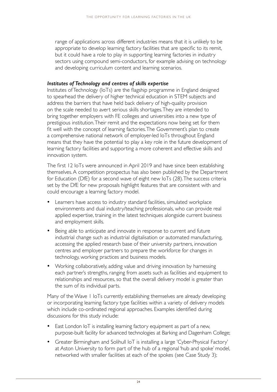range of applications across different industries means that it is unlikely to be appropriate to develop learning factory facilities that are specific to its remit, but it could have a role to play in supporting learning factories in industry sectors using compound semi-conductors, for example advising on technology and developing curriculum content and learning scenarios.

## *Institutes of Technology and centres of skills expertise*

Institutes of Technology (IoTs) are the flagship programme in England designed to spearhead the delivery of higher technical education in STEM subjects and address the barriers that have held back delivery of high-quality provision on the scale needed to avert serious skills shortages. They are intended to bring together employers with FE colleges and universities into a new type of prestigious institution. Their remit and the expectations now being set for them fit well with the concept of learning factories. The Government's plan to create a comprehensive national network of employer-led IoTs throughout England means that they have the potential to play a key role in the future development of learning factory facilities and supporting a more coherent and effective skills and innovation system.

The first 12 IoTs were announced in April 2019 and have since been establishing themselves. A competition prospectus has also been published by the Department for Education (DfE) for a second wave of eight new IoTs (28). The success criteria set by the DfE for new proposals highlight features that are consistent with and could encourage a learning factory model.

- Learners have access to industry standard facilities, simulated workplace environments and dual industry/teaching professionals, who can provide real applied expertise, training in the latest techniques alongside current business and employment skills.
- Being able to anticipate and innovate in response to current and future industrial change such as industrial digitalisation or automated manufacturing, accessing the applied research base of their university partners, innovation centres and employer partners to prepare the workforce for changes in technology, working practices and business models.
- Working collaboratively, adding value and driving innovation by harnessing each partner's strengths, ranging from assets such as facilities and equipment to relationships and resources, so that the overall delivery model is greater than the sum of its individual parts.

Many of the Wave 1 IoTs currently establishing themselves are already developing or incorporating learning factory type facilities within a variety of delivery models which include co-ordinated regional approaches. Examples identified during discussions for this study include:

- East London IoT is installing learning factory equipment as part of a new, purpose-built facility for advanced technologies at Barking and Dagenham College;
- Greater Birmingham and Solihull IoT is installing a large 'Cyber-Physical Factory' at Aston University to form part of the hub of a regional 'hub and spoke' model, networked with smaller facilities at each of the spokes (see Case Study 3);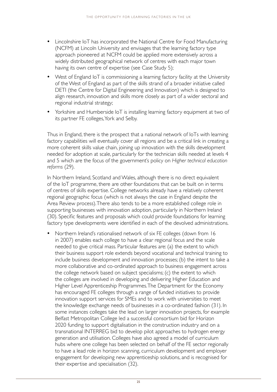- Lincolnshire IoT has incorporated the National Centre for Food Manufacturing (NCFM) at Lincoln University and envisages that the learning factory type approach pioneered at NCFM could be applied more extensively across a widely distributed geographical network of centres with each major town having its own centre of expertise (see Case Study 5);
- West of England IoT is commissioning a learning factory facility at the University of the West of England as part of the skills strand of a broader initiative called DETI (the Centre for Digital Engineering and Innovation) which is designed to align research, innovation and skills more closely as part of a wider sectoral and regional industrial strategy;
- Yorkshire and Humberside IoT is installing learning factory equipment at two of its partner FE colleges, York and Selby.

Thus in England, there is the prospect that a national network of IoTs with learning factory capabilities will eventually cover all regions and be a critical link in creating a more coherent skills value chain, joining up innovation with the skills development needed for adoption at scale, particularly for the technician skills needed at levels 4 and 5 which are the focus of the government's policy on *Higher technical education reforms* (29).

In Northern Ireland, Scotland and Wales, although there is no direct equivalent of the IoT programme, there are other foundations that can be built on in terms of centres of skills expertise. College networks already have a relatively coherent regional geographic focus (which is not always the case in England despite the Area Review process). There also tends to be a more established college role in supporting businesses with innovation adoption, particularly in Northern Ireland (30). Specific features and proposals which could provide foundations for learning factory type developments were identified in each of the devolved administrations.

Northern Ireland's rationalised network of six FE colleges (down from 16 in 2007) enables each college to have a clear regional focus and the scale needed to give critical mass. Particular features are: (a) the extent to which their business support role extends beyond vocational and technical training to include business development and innovation processes; (b) the intent to take a more collaborative and co-ordinated approach to business engagement across the college network based on subject specialisms; (c) the extent to which the colleges are involved in developing and delivering Higher Education and Higher Level Apprenticeship Programmes. The Department for the Economy has encouraged FE colleges through a range of funded initiatives to provide innovation support services for SMEs and to work with universities to meet the knowledge exchange needs of businesses in a co-ordinated fashion (31). In some instances colleges take the lead on larger innovation projects, for example Belfast Metropolitan College led a successful consortium bid for Horizon 2020 funding to support digitalisation in the construction industry and on a transnational INTERREG bid to develop pilot approaches to hydrogen energy generation and utilisation. Colleges have also agreed a model of curriculum hubs where one college has been selected on behalf of the FE sector regionally to have a lead role in horizon scanning, curriculum development and employer engagement for developing new apprenticeship solutions, and is recognised for their expertise and specialisation (32).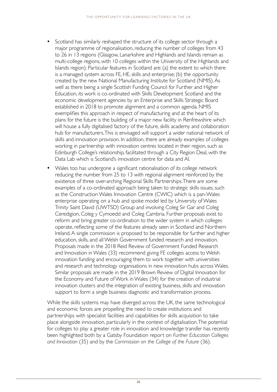- Scotland has similarly reshaped the structure of its college sector through a major programme of regionalisation, reducing the number of colleges from 43 to 26 in 13 regions (Glasgow, Lanarkshire and Highlands and Islands remain as multi-college regions, with 10 colleges within the University of the Highlands and Islands region). Particular features in Scotland are: (a) the extent to which there is a managed system across FE, HE, skills and enterprise; (b) the opportunity created by the new National Manufacturing Institute for Scotland (NMIS). As well as there being a single Scottish Funding Council for Further and Higher Education, its work is co-ordinated with Skills Development Scotland and the economic development agencies by an Enterprise and Skills Strategic Board established in 2018 to promote alignment and a common agenda. NMIS exemplifies this approach in respect of manufacturing and at the heart of its plans for the future is the building of a major new facility in Renfrewshire which will house a fully digitalised factory of the future, skills academy and collaboration hub for manufacturers. This is envisaged will support a wider national network of skills and innovation provision. In addition, there are already examples of colleges working in partnership with innovation centres located in their region, such as Edinburgh College's relationship, facilitated through a City Region Deal, with the Data Lab which is Scotland's innovation centre for data and AI.
- Wales too has undergone a significant rationalisation of its college network reducing the number from 25 to 13 with regional alignment reinforced by the existence of three over-arching Regional Skills Partnerships. There are some examples of a co-ordinated approach being taken to strategic skills issues, such as the Construction Wales Innovation Centre (CWIC) which is a pan-Wales enterprise operating on a hub and spoke model led by University of Wales Trinity Saint David (UWTSD) Group and involving Coleg Sir Gar and Coleg Ceredigion, Coleg y Cymoedd and Coleg Cambria. Further proposals exist to reform and bring greater co-ordination to the wider system in which colleges operate, reflecting some of the features already seen in Scotland and Northern Ireland. A single commission is proposed to be responsible for further and higher education, skills, and all Welsh Government funded research and innovation. Proposals made in the 2018 Reid Review of Government Funded Research and Innovation in Wales (33) recommend giving FE colleges access to Welsh innovation funding and encouraging them to work together with universities and research and technology organisations in new innovation hubs across Wales. Similar proposals are made in the 2019 Brown Review of Digital Innovation for the Economy and Future of Work in Wales (34) for the creation of industrial innovation clusters and the integration of existing business, skills and innovation support to form a single business diagnostic and transformation process.

While the skills systems may have diverged across the UK, the same technological and economic forces are propelling the need to create institutions and partnerships with specialist facilities and capabilities for skills acquisition to take place alongside innovation, particularly in the context of digitalisation. The potential for colleges to play a greater role in innovation and knowledge transfer has recently been highlighted both by a Gatsby Foundation report on *Further Education Colleges and Innovation* (35) and by the *Commission on the College of the Future* (36).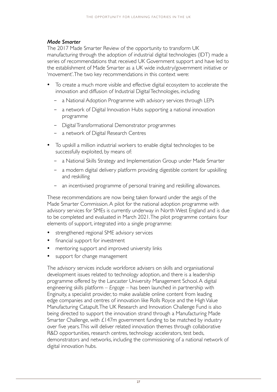## *Made Smarter*

The 2017 Made Smarter Review of the opportunity to transform UK manufacturing through the adoption of industrial digital technologies (IDT) made a series of recommendations that received UK Government support and have led to the establishment of Made Smarter as a UK wide industry/government initiative or 'movement'. The two key recommendations in this context were:

- To create a much more visible and effective digital ecosystem to accelerate the innovation and diffusion of Industrial Digital Technologies, including
	- a National Adoption Programme with advisory services through LEPs
	- a network of Digital Innovation Hubs supporting a national innovation programme
	- Digital Transformational Demonstrator programmes
	- a network of Digital Research Centres
- To upskill a million industrial workers to enable digital technologies to be successfully exploited, by means of:
	- a National Skills Strategy and Implementation Group under Made Smarter
	- a modern digital delivery platform providing digestible content for upskilling and reskilling
	- an incentivised programme of personal training and reskilling allowances.

These recommendations are now being taken forward under the aegis of the Made Smarter Commission. A pilot for the national adoption programme with advisory services for SMEs is currently underway in North West England and is due to be completed and evaluated in March 2021. The pilot programme contains four elements of support, integrated into a single programme:

- strengthened regional SME advisory services
- financial support for investment
- mentoring support and improved university links
- support for change management

The advisory services include workforce advisers on skills and organisational development issues related to technology adoption, and there is a leadership programme offered by the Lancaster University Management School. A digital engineering skills platform – *[Engage](https://enginuity.org/news/digital-engineering-skills-platform/)* – has been launched in partnership with Enginuity, a specialist provider, to make available online content from leading edge companies and centres of innovation like Rolls Royce and the High Value Manufacturing Catapult. The UK Research and Innovation Challenge Fund is also being directed to support the innovation strand through a Manufacturing Made Smarter Challenge, with £147m government funding to be matched by industry over five years. This will deliver related innovation themes through collaborative R&D opportunities, research centres, technology accelerators, test beds, demonstrators and networks, including the commissioning of a national network of digital innovation hubs.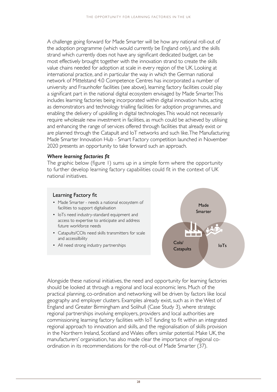A challenge going forward for Made Smarter will be how any national roll-out of the adoption programme (which would currently be England only), and the skills strand which currently does not have any significant dedicated budget, can be most effectively brought together with the innovation strand to create the skills value chains needed for adoption at scale in every region of the UK. Looking at international practice, and in particular the way in which the German national network of Mittelstand 4.0 Competence Centres has incorporated a number of university and Fraunhofer facilities (see above), learning factory facilities could play a significant part in the national digital ecosystem envisaged by Made Smarter. This includes learning factories being incorporated within digital innovation hubs, acting as demonstrators and technology trialling facilities for adoption programmes, and enabling the delivery of upskilling in digital technologies. This would not necessarily require wholesale new investment in facilities, as much could be achieved by utilising and enhancing the range of services offered through facilities that already exist or are planned through the Catapult and IoT networks and such like. The [Manufacturing](https://apply-for-innovation-funding.service.gov.uk/competition/793/overview#scope)  [Made Smarter Innovation Hub - Smart Factory competition](https://apply-for-innovation-funding.service.gov.uk/competition/793/overview#scope) launched in November 2020 presents an opportunity to take forward such an approach.

### *Where learning factories fit*

The graphic below (figure 1) sums up in a simple form where the opportunity to further develop learning factory capabilities could fit in the context of UK national initiatives.

#### Learning Factory fit

- Made Smarter needs a national ecosystem of facilities to support digitalisation
- IoTs need industry-standard equipment and access to expertise to anticipate and address future workforce needs
- Catapults/COIs need skills transmitters for scale and accessilbility
- All need strong industry partnerships



Alongside these national initiatives, the need and opportunity for learning factories should be looked at through a regional and local economic lens. Much of the practical planning, co-ordination and networking will be driven by factors like local geography and employer clusters. Examples already exist, such as in the West of England and Greater Birmingham and Solihull (Case Study 3), where strategic regional partnerships involving employers, providers and local authorities are commissioning learning factory facilities with IoT funding to fit within an integrated regional approach to innovation and skills, and the regionalisation of skills provision in the Northern Ireland, Scotland and Wales offers similar potential. Make UK, the manufacturers' organisation, has also made clear the importance of regional coordination in its recommendations for the roll-out of Made Smarter (37).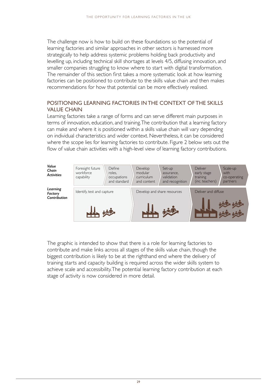The challenge now is how to build on these foundations so the potential of learning factories and similar approaches in other sectors is harnessed more strategically to help address systemic problems holding back productivity and levelling up, including technical skill shortages at levels 4/5, diffusing innovation, and smaller companies struggling to know where to start with digital transformation. The remainder of this section first takes a more systematic look at how learning factories can be positioned to contribute to the skills value chain and then makes recommendations for how that potential can be more effectively realised.

## POSITIONING LEARNING FACTORIES IN THE CONTEXT OF THE SKILLS VALUE CHAIN

Learning factories take a range of forms and can serve different main purposes in terms of innovation, education, and training. The contribution that a learning factory can make and where it is positioned within a skills value chain will vary depending on individual characteristics and wider context. Nevertheless, it can be considered where the scope lies for learning factories to contribute. Figure 2 below sets out the flow of value chain activities with a high-level view of learning factory contributions.



The graphic is intended to show that there is a role for learning factories to contribute and make links across all stages of the skills value chain, though the biggest contribution is likely to be at the righthand end where the delivery of training starts and capacity building is required across the wider skills system to achieve scale and accessibility. The potential learning factory contribution at each stage of activity is now considered in more detail.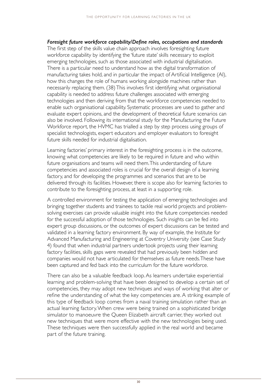#### *Foresight future workforce capability/Define roles, occupations and standards*

The first step of the skills value chain approach involves foresighting future workforce capability by identifying the 'future state' skills necessary to exploit emerging technologies, such as those associated with industrial digitalisation. There is a particular need to understand how as the digital transformation of manufacturing takes hold, and in particular the impact of Artificial Intelligence (AI), how this changes the role of humans working alongside machines rather than necessarily replacing them. (38) This involves first identifying what organisational capability is needed to address future challenges associated with emerging technologies and then deriving from that the workforce competencies needed to enable such organisational capability. Systematic processes are used to gather and evaluate expert opinions, and the development of theoretical future scenarios can also be involved. Following its international study for the Manufacturing the Future Workforce report, the HVMC has trialled a step by step process using groups of specialist technologists, expert educators and employer evaluators to foresight future skills needed for industrial digitalisation.

Learning factories' primary interest in the foresighting process is in the outcome, knowing what competencies are likely to be required in future and who within future organisations and teams will need them. This understanding of future competencies and associated roles is crucial for the overall design of a learning factory, and for developing the programmes and scenarios that are to be delivered through its facilities. However, there is scope also for learning factories to contribute to the foresighting process, at least in a supporting role.

A controlled environment for testing the application of emerging technologies and bringing together students and trainees to tackle real world projects and problemsolving exercises can provide valuable insight into the future competencies needed for the successful adoption of those technologies. Such insights can be fed into expert group discussions, or the outcomes of expert discussions can be tested and validated in a learning factory environment. By way of example, the Institute for Advanced Manufacturing and Engineering at Coventry University (see Case Study 4) found that when industrial partners undertook projects using their learning factory facilities, skills gaps were revealed that had previously been hidden and companies would not have articulated for themselves as future needs. These have been captured and fed back into the curriculum for the future workforce.

There can also be a valuable feedback loop. As learners undertake experiential learning and problem-solving that have been designed to develop a certain set of competencies, they may adopt new techniques and ways of working that alter or refine the understanding of what the key competencies are. A striking example of this type of feedback loop comes from a naval training simulation rather than an actual learning factory. When crew were being trained on a sophisticated bridge simulator to manoeuvre the Queen Elizabeth aircraft carrier, they worked out new techniques that were more effective with the new technologies being used. These techniques were then successfully applied in the real world and became part of the future training.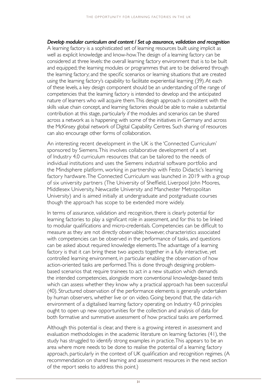#### *Develop modular curriculum and content / Set up assurance, validation and recognition*

A learning factory is a sophisticated set of learning resources built using implicit as well as explicit knowledge and know-how. The design of a learning factory can be considered at three levels: the overall learning factory environment that is to be built and equipped; the learning modules or programmes that are to be delivered through the learning factory; and the specific scenarios or learning situations that are created using the learning factory's capability to facilitate experiential learning (39). At each of these levels, a key design component should be an understanding of the range of competencies that the learning factory is intended to develop and the anticipated nature of learners who will acquire them. This design approach is consistent with the skills value chain concept, and learning factories should be able to make a substantial contribution at this stage, particularly if the modules and scenarios can be shared across a network as is happening with some of the initiatives in Germany and across the McKinsey global network of Digital Capability Centres. Such sharing of resources can also encourage other forms of collaboration.

An interesting recent development in the UK is the ['Connected Curriculum'](https://new.siemens.com/uk/en/company/education/connected-curriculum.html) sponsored by Siemens. This involves collaborative development of a set of Industry 4.0 curriculum resources that can be tailored to the needs of individual institutions and uses the Siemens industrial software portfolio and the Mindsphere platform, working in partnership with Festo Didactic's learning factory hardware. The Connected Curriculum was launched in 2019 with a group of six university partners (The University of Sheffield, Liverpool John Moores, Middlesex University, Newcastle University and Manchester Metropolitan University) and is aimed initially at undergraduate and postgraduate courses though the approach has scope to be extended more widely.

In terms of assurance, validation and recognition, there is clearly potential for learning factories to play a significant role in assessment, and for this to be linked to modular qualifications and micro-credentials. Competencies can be difficult to measure as they are not directly observable; however, characteristics associated with competencies can be observed in the performance of tasks, and questions can be asked about required knowledge elements. The advantage of a learning factory is that it can bring these two aspects together in a fully interactive, yet controlled learning environment, in particular enabling the observation of how action-oriented tasks are performed. This is done through designing problembased scenarios that require trainees to act in a new situation which demands the intended competencies, alongside more conventional knowledge-based tests which can assess whether they know why a practical approach has been successful (40). Structured observation of the performance elements is generally undertaken by human observers, whether live or on video. Going beyond that, the data-rich environment of a digitalised learning factory operating on Industry 4.0 principles ought to open up new opportunities for the collection and analysis of data for both formative and summative assessment of how practical tasks are performed.

Although this potential is clear, and there is a growing interest in assessment and evaluation methodologies in the academic literature on learning factories (41), the study has struggled to identify strong examples in practice. This appears to be an area where more needs to be done to realise the potential of a learning factory approach, particularly in the context of UK qualification and recognition regimes. (A recommendation on shared learning and assessment resources in the next section of the report seeks to address this point.)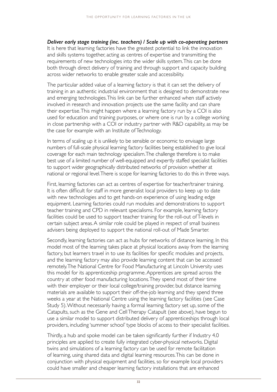#### *Deliver early stage training (inc. teachers) / Scale up with co-operating partners*

It is here that learning factories have the greatest potential to link the innovation and skills systems together, acting as centres of expertise and transmitting the requirements of new technologies into the wider skills system. This can be done both through direct delivery of training and through support and capacity building across wider networks to enable greater scale and accessibility.

The particular added value of a learning factory is that it can set the delivery of training in an authentic industrial environment that is designed to demonstrate new and emerging technologies. This link can be further enhanced when staff actively involved in research and innovation projects use the same facility and can share their expertise. This might happen where a learning factory run by a COI is also used for education and training purposes, or where one is run by a college working in close partnership with a COI or industry partner with R&D capability, as may be the case for example with an Institute of Technology.

In terms of scaling up it is unlikely to be sensible or economic to envisage large numbers of full-scale physical learning factory facilities being established to give local coverage for each main technology specialism. The challenge therefore is to make best use of a limited number of well-equipped and expertly staffed specialist facilities to support wider geographically distributed networks of provision whether at national or regional level. There is scope for learning factories to do this in three ways.

First, learning factories can act as centres of expertise for teacher/trainer training. It is often difficult for staff in more generalist local providers to keep up to date with new technologies and to get hands-on experience of using leading edge equipment. Learning factories could run modules and demonstrations to support teacher training and CPD in relevant specialisms. For example, learning factory facilities could be used to support teacher training for the roll-out of T-levels in certain subject areas. A similar role could be played in respect of small business advisers being deployed to support the national roll-out of Made Smarter.

Secondly, learning factories can act as hubs for networks of distance learning. In this model most of the learning takes place at physical locations away from the learning factory, but learners travel in to use its facilities for specific modules and projects, and the learning factory may also provide learning content that can be accessed remotely. The National Centre for Food Manufacturing at Lincoln University uses this model for its apprenticeship programme. Apprentices are spread across the country at other food manufacturing locations. They spend most of their time with their employer or their local college/training provider, but distance learning materials are available to support their off-the-job learning and they spend three weeks a year at the National Centre using the learning factory facilities (see Case Study 5). Without necessarily having a formal learning factory set up, some of the Catapults, such as the Gene and Cell Therapy Catapult (see above), have begun to use a similar model to support distributed delivery of apprenticeships through local providers, including 'summer school' type blocks of access to their specialist facilities.

Thirdly, a hub and spoke model can be taken significantly further if Industry 4.0 principles are applied to create fully integrated cyber-physical networks. Digital twins and simulations of a learning factory can be used for remote facilitation of learning, using shared data and digital learning resources. This can be done in conjunction with physical equipment and facilities, so for example local providers could have smaller and cheaper learning factory installations that are enhanced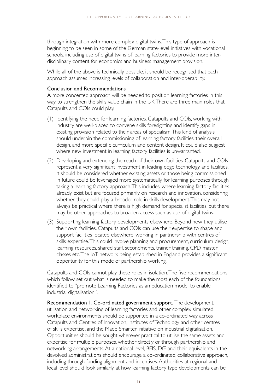through integration with more complex digital twins. This type of approach is beginning to be seen in some of the German state-level initiatives with vocational schools, including use of digital twins of learning factories to provide more interdisciplinary content for economics and business management provision.

While all of the above is technically possible, it should be recognised that each approach assumes increasing levels of collaboration and inter-operability.

### Conclusion and Recommendations

A more concerted approach will be needed to position learning factories in this way to strengthen the skills value chain in the UK. There are three main roles that Catapults and COIs could play.

- (1) Identifying the need for learning factories. Catapults and COIs, working with industry, are well-placed to convene skills foresighting and identify gaps in existing provision related to their areas of specialism. This kind of analysis should underpin the commissioning of learning factory facilities, their overall design, and more specific curriculum and content design. It could also suggest where new investment in learning factory facilities is unwarranted.
- (2) Developing and extending the reach of their own facilities. Catapults and COIs represent a very significant investment in leading edge technology and facilities. It should be considered whether existing assets or those being commissioned in future could be leveraged more systematically for learning purposes through taking a learning factory approach. This includes, where learning factory facilities already exist but are focused primarily on research and innovation, considering whether they could play a broader role in skills development. This may not always be practical where there is high demand for specialist facilities, but there may be other approaches to broaden access such as use of digital twins.
- (3) Supporting learning factory developments elsewhere. Beyond how they utilise their own facilities, Catapults and COIs can use their expertise to shape and support facilities located elsewhere, working in partnership with centres of skills expertise. This could involve planning and procurement, curriculum design, learning resources, shared staff, secondments, trainer training, CPD, master classes etc. The IoT network being established in England provides a significant opportunity for this mode of partnership working.

Catapults and COIs cannot play these roles in isolation. The five recommendations which follow set out what is needed to make the most each of the foundations identified to "promote Learning Factories as an education model to enable industrial digitalisation".

Recommendation 1. Co-ordinated government support. The development, utilisation and networking of learning factories and other complex simulated workplace environments should be supported in a co-ordinated way across Catapults and Centres of Innovation, Institutes of Technology and other centres of skills expertise, and the Made Smarter initiative on industrial digitalisation. Opportunities should be sought wherever practical to utilise the same assets and expertise for multiple purposes, whether directly or through partnership and networking arrangements. At a national level, BEIS, DfE and their equivalents in the devolved administrations should encourage a co-ordinated, collaborative approach, including through funding alignment and incentives. Authorities at regional and local level should look similarly at how learning factory type developments can be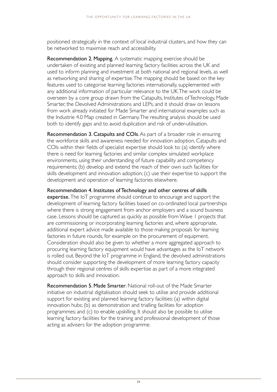positioned strategically in the context of local industrial clusters, and how they can be networked to maximise reach and accessibility.

Recommendation 2. Mapping. A systematic mapping exercise should be undertaken of existing and planned learning factory facilities across the UK and used to inform planning and investment at both national and regional levels, as well as networking and sharing of expertise. The mapping should be based on the key features used to categorise learning factories internationally, supplemented with any additional information of particular relevance to the UK. The work could be overseen by a core group drawn from the Catapults, Institutes of Technology, Made Smarter, the Devolved Administrations and LEPs, and it should draw on lessons from work already initiated for Made Smarter and international examples such as the [Industrie 4.0 Map](https://www.plattform-i40.de/PI40/Navigation/EN/Services-Results/Industrie-4-0-Map/industrie-4-0-map.html) created in Germany. The resulting analysis should be used both to identify gaps and to avoid duplication and risk of under-utilisation.

Recommendation 3. Catapults and COIs. As part of a broader role in ensuring the workforce skills and awareness needed for innovation adoption, Catapults and COIs within their fields of specialist expertise should look to: (a) identify where there is need for learning factories and similar complex simulated workplace environments, using their understanding of future capability and competency requirements; (b) develop and extend the reach of their own such facilities for skills development and innovation adoption; (c) use their expertise to support the development and operation of learning factories elsewhere.

Recommendation 4. Institutes of Technology and other centres of skills expertise. The IoT programme should continue to encourage and support the development of learning factory facilities based on co-ordinated local partnerships where there is strong engagement from anchor employers and a sound business case. Lessons should be captured as quickly as possible from Wave 1 projects that are commissioning or incorporating learning factories and, where appropriate, additional expert advice made available to those making proposals for learning factories in future rounds, for example on the procurement of equipment. Consideration should also be given to whether a more aggregated approach to procuring learning factory equipment would have advantages as the IoT network is rolled out. Beyond the IoT programme in England, the devolved administrations should consider supporting the development of more learning factory capacity through their regional centres of skills expertise as part of a more integrated approach to skills and innovation.

Recommendation 5. Made Smarter. National roll-out of the Made Smarter initiative on industrial digitalisation should seek to utilise and provide additional support for existing and planned learning factory facilities: (a) within digital innovation hubs; (b) as demonstration and trialling facilities for adoption programmes; and (c) to enable upskilling. It should also be possible to utilise learning factory facilities for the training and professional development of those acting as advisers for the adoption programme.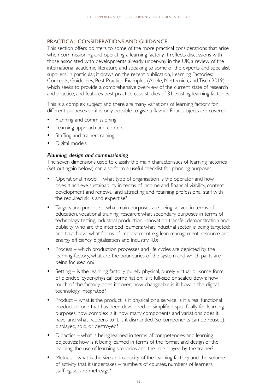## PRACTICAL CONSIDERATIONS AND GUIDANCE

This section offers pointers to some of the more practical considerations that arise when commissioning and operating a learning factory. It reflects discussions with those associated with developments already underway in the UK, a review of the international academic literature and speaking to some of the experts and specialist suppliers. In particular, it draws on the recent publication, Learning Factories: Concepts, Guidelines, Best Practice Examples (Abele, Metternich, and Tisch 2019) which seeks to provide a comprehensive overview of the current state of research and practice, and features best practice case studies of 31 existing learning factories.

This is a complex subject and there are many variations of learning factory for different purposes so it is only possible to give a flavour. Four subjects are covered:

- Planning and commissioning
- Learning approach and content
- Staffing and trainer training
- Digital models

### *Planning, design and commissioning*

The seven dimensions used to classify the main characteristics of learning factories (set out again below) can also form a useful checklist for planning purposes.

- Operational model what type of organisation is the operator and how does it achieve sustainability in terms of income and financial viability, content development and renewal, and attracting and retaining professional staff with the required skills and expertise?
- Targets and purpose  $-$  what main purposes are being served in terms of education, vocational training, research; what secondary purposes in terms of technology testing, industrial production, innovation transfer, demonstration and publicity; who are the intended learners; what industrial sector is being targeted; and to achieve what forms of improvement e.g lean management, resource and energy efficiency, digitalisation and Industry 4.0?
- Process which production processes and life cycles are depicted by the learning factory, what are the boundaries of the system and which parts are being focused on?
- Setting  $-$  is the learning factory purely physical, purely virtual or some form of blended 'cyber-physical' combination; is it full-size or scaled down; how much of the factory does it cover; how changeable is it; how is the digital technology integrated?
- $Product what is the product, is it physical or a service, is it a real functional$ product or one that has been developed or simplified specifically for learning purposes, how complex is it, how many components and variations does it have, and what happens to it, is it dismantled (so components can be reused), displayed, sold, or destroyed?
- $Didactors what is being learned in terms of competencies and learning$ objectives; how is it being learned in terms of the format and design of the learning, the use of learning scenarios and the role played by the trainer?
- Metrics what is the size and capacity of the learning factory and the volume of activity that it undertakes – numbers of courses, numbers of learners, staffing, square metreage?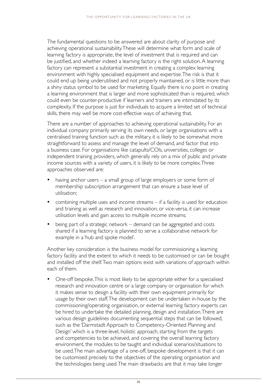The fundamental questions to be answered are about clarity of purpose and achieving operational sustainability. These will determine what form and scale of learning factory is appropriate, the level of investment that is required and can be justified, and whether indeed a learning factory is the right solution. A learning factory can represent a substantial investment in creating a complex learning environment with highly specialised equipment and expertise. The risk is that it could end up being underutilised and not properly maintained, or is little more than a shiny status symbol to be used for marketing. Equally there is no point in creating a learning environment that is larger and more sophisticated than is required, which could even be counter-productive if learners and trainers are intimidated by its complexity. If the purpose is just for individuals to acquire a limited set of technical skills, there may well be more cost-effective ways of achieving that.

There are a number of approaches to achieving operational sustainability. For an individual company primarily serving its own needs, or large organisations with a centralised training function such as the military, it is likely to be somewhat more straightforward to assess and manage the level of demand, and factor that into a business case. For organisations like catapults/COIs, universities, colleges or independent training providers, which generally rely on a mix of public and private income sources with a variety of users, it is likely to be more complex. Three approaches observed are:

- having anchor users  $-$  a small group of large employers or some form of membership subscription arrangement that can ensure a base level of utilisation;
- combining multiple uses and income streams  $-$  if a facility is used for education and training as well as research and innovation, or vice-versa, it can increase utilisation levels and gain access to multiple income streams;
- being part of a strategic network demand can be aggregated and costs shared if a learning factory is planned to serve a collaborative network for example in a 'hub and spoke model'.

Another key consideration is the business model for commissioning a learning factory facility and the extent to which it needs to be customised or can be bought and installed off the shelf. Two main options exist with variations of approach within each of them.

One-off bespoke. This is most likely to be appropriate either for a specialised research and innovation centre or a large company or organisation for which it makes sense to design a facility with their own equipment primarily for usage by their own staff. The development can be undertaken in-house by the commissioning/operating organisation, or external learning factory experts can be hired to undertake the detailed planning, design and installation. There are various design guidelines documenting sequential steps that can be followed, such as the 'Darmstadt Approach to Competency-Oriented Planning and Design' which is a three-level, holistic approach, starting from the targets and competencies to be achieved, and covering the overall learning factory environment, the modules to be taught and individual scenarios/situations to be used. The main advantage of a one-off, bespoke development is that it can be customised precisely to the objectives of the operating organisation and the technologies being used. The main drawbacks are that it may take longer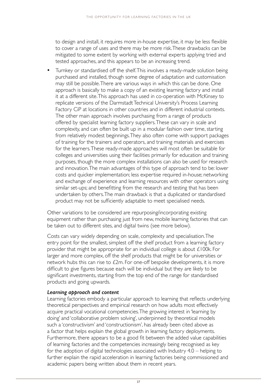to design and install, it requires more in-house expertise, it may be less flexible to cover a range of uses and there may be more risk. These drawbacks can be mitigated to some extent by working with external experts applying tried and tested approaches, and this appears to be an increasing trend.

Turnkey or standardised off the shelf. This involves a ready-made solution being purchased and installed, though some degree of adaptation and customisation may still be possible. There are various ways in which this can be done. One approach is basically to make a copy of an existing learning factory and install it at a different site. This approach has used in co-operation with McKinsey to replicate versions of the Darmstadt Technical University's Process Learning Factory CiP at locations in other countries and in different industrial contexts. The other main approach involves purchasing from a range of products offered by specialist learning factory suppliers. These can vary in scale and complexity, and can often be built up in a modular fashion over time, starting from relatively modest beginnings. They also often come with support packages of training for the trainers and operators, and training materials and exercises for the learners. These ready-made approaches will most often be suitable for colleges and universities using their facilities primarily for education and training purposes, though the more complex installations can also be used for research and innovation. The main advantages of this type of approach tend to be: lower costs and quicker implementation; less expertise required in-house; networking and exchange of experience and learning resources with other operators using similar set-ups; and benefitting from the research and testing that has been undertaken by others. The main drawback is that a duplicated or standardised product may not be sufficiently adaptable to meet specialised needs.

Other variations to be considered are repurposing/incorporating existing equipment rather than purchasing just from new, mobile learning factories that can be taken out to different sites, and digital twins (see more below).

Costs can vary widely depending on scale, complexity and specialisation. The entry point for the smallest, simplest off the shelf product from a learning factory provider that might be appropriate for an individual college is about £100k. For larger and more complex, off the shelf products that might be for universities or network hubs this can rise to £2m. For one-off bespoke developments, it is more difficult to give figures because each will be individual but they are likely to be significant investments, starting from the top end of the range for standardised products and going upwards.

## *Learning approach and content*

Learning factories embody a particular approach to learning that reflects underlying theoretical perspectives and empirical research on how adults most effectively acquire practical vocational competencies. The growing interest in 'learning by doing' and 'collaborative problem solving', underpinned by theoretical models such a 'constructivism' and 'constructionism', has already been cited above as a factor that helps explain the global growth in learning factory deployments. Furthermore, there appears to be a good fit between the added value capabilities of learning factories and the competencies increasingly being recognised as key for the adoption of digital technologies associated with Industry 4.0 – helping to further explain the rapid acceleration in learning factories being commissioned and academic papers being written about them in recent years.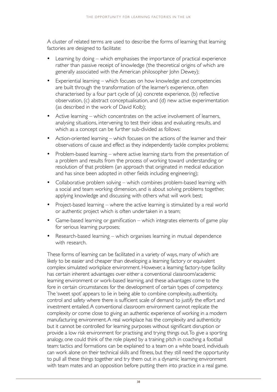A cluster of related terms are used to describe the forms of learning that learning factories are designed to facilitate:

- Learning by doing  $-$  which emphasises the importance of practical experience rather than passive receipt of knowledge (the theoretical origins of which are generally associated with the American philosopher John Dewey);
- Experiential learning which focuses on how knowledge and competencies are built through the transformation of the learner's experience, often characterised by a four part cycle of (a) concrete experience, (b) reflective observation, (c) abstract conceptualisation, and (d) new active experimentation (as described in the work of David Kolb);
- Active learning  $-$  which concentrates on the active involvement of learners, analysing situations, intervening to test their ideas and evaluating results, and which as a concept can be further sub-divided as follows:
- Action-oriented learning which focuses on the actions of the learner and their observations of cause and effect as they independently tackle complex problems;
- Problem-based learning where active learning starts from the presentation of a problem and results from the process of working toward understanding or resolution of that problem (an approach that originated in medical education and has since been adopted in other fields including engineering);
- Collaborative problem solving which combines problem-based learning with a social and team working dimension, and is about solving problems together, applying knowledge and discussing with others what will work best;
- Project-based learning where the active learning is stimulated by a real world or authentic project which is often undertaken in a team;
- Game-based learning or gamification which integrates elements of game play for serious learning purposes;
- Research-based learning which organises learning in mutual dependence with research.

These forms of learning can be facilitated in a variety of ways, many of which are likely to be easier and cheaper than developing a learning factory or equivalent complex simulated workplace environment. However, a learning factory-type facility has certain inherent advantages over either a conventional classroom/academic learning environment or work-based learning, and these advantages come to the fore in certain circumstances for the development of certain types of competency. The 'sweet spot' appears to lie in being able to combine complexity, authenticity, control and safety where there is sufficient scale of demand to justify the effort and investment entailed. A conventional classroom environment cannot replicate the complexity or come close to giving an authentic experience of working in a modern manufacturing environment. A real workplace has the complexity and authenticity but it cannot be controlled for learning purposes without significant disruption or provide a low risk environment for practising and trying things out. To give a sporting analogy, one could think of the role played by a training pitch in coaching a football team: tactics and formations can be explained to a team on a white board, individuals can work alone on their technical skills and fitness, but they still need the opportunity to pull all these things together and try them out in a dynamic learning environment with team mates and an opposition before putting them into practice in a real game.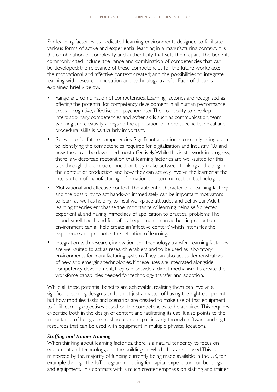For learning factories, as dedicated learning environments designed to facilitate various forms of active and experiential learning in a manufacturing context, it is the combination of complexity and authenticity that sets them apart. The benefits commonly cited include: the range and combination of competencies that can be developed; the relevance of these competencies for the future workplace; the motivational and affective context created; and the possibilities to integrate learning with research, innovation and technology transfer. Each of these is explained briefly below.

- Range and combination of competencies. Learning factories are recognised as offering the potential for competency development in all human performance areas – cognitive, affective and psychomotor. Their capability to develop interdisciplinary competencies and softer skills such as communication, team working and creativity alongside the application of more specific technical and procedural skills is particularly important.
- Relevance for future competencies. Significant attention is currently being given to identifying the competencies required for digitalisation and Industry 4.0, and how these can be developed most effectively. While this is still work in progress, there is widespread recognition that learning factories are well-suited for this task through the unique connection they make between thinking and doing in the context of production, and how they can actively involve the learner at the intersection of manufacturing, information and communication technologies.
- Motivational and affective context. The authentic character of a learning factory and the possibility to act hands-on immediately can be important motivators to learn as well as helping to instil workplace attitudes and behaviour. Adult learning theories emphasise the importance of learning being self-directed, experiential, and having immediacy of application to practical problems. The sound, smell, touch and feel of real equipment in an authentic production environment can all help create an 'affective context' which intensifies the experience and promotes the retention of learning.
- Integration with research, innovation and technology transfer. Learning factories are well-suited to act as research enablers and to be used as laboratory environments for manufacturing systems. They can also act as demonstrators of new and emerging technologies. If these uses are integrated alongside competency development, they can provide a direct mechanism to create the workforce capabilities needed for technology transfer and adoption.

While all these potential benefits are achievable, realising them can involve a significant learning design task. It is not just a matter of having the right equipment, but how modules, tasks and scenarios are created to make use of that equipment to fulfil learning objectives based on the competencies to be acquired. This requires expertise both in the design of content and facilitating its use. It also points to the importance of being able to share content, particularly through software and digital resources that can be used with equipment in multiple physical locations.

## *Staffing and trainer training*

When thinking about learning factories, there is a natural tendency to focus on equipment and technology, and the buildings in which they are housed. This is reinforced by the majority of funding currently being made available in the UK, for example through the IoT programme, being for capital expenditure on buildings and equipment. This contrasts with a much greater emphasis on staffing and trainer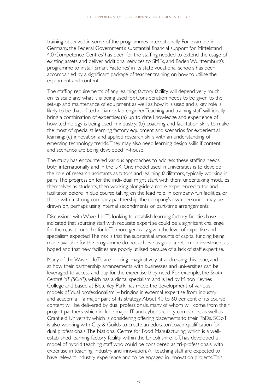training observed in some of the programmes internationally. For example in Germany, the Federal Government's substantial financial support for 'Mittelstand 4.0 Competence Centres' has been for the staffing needed to extend the usage of existing assets and deliver additional services to SMEs, and Baden Wurttemburg's programme to install 'Smart Factories' in its state vocational schools has been accompanied by a significant package of teacher training on how to utilise the equipment and content.

The staffing requirements of any learning factory facility will depend very much on its scale and what it is being used for. Consideration needs to be given to the set-up and maintenance of equipment as well as how it is used and a key role is likely to be that of technician or lab engineer. Teaching and training staff will ideally bring a combination of expertise: (a) up to date knowledge and experience of how technology is being used in industry; (b) coaching and facilitation skills to make the most of specialist learning factory equipment and scenarios for experiential learning; (c) innovation and applied research skills with an understanding of emerging technology trends. They may also need learning design skills if content and scenarios are being developed in-house.

The study has encountered various approaches to address these staffing needs both internationally and in the UK. One model used in universities is to develop the role of research assistants as tutors and learning facilitators, typically working in pairs. The progression for the individual might start with them undertaking modules themselves as students, then working alongside a more experienced tutor and facilitator, before in due course taking on the lead role. In company-run facilities, or those with a strong company partnership, the company's own personnel may be drawn on, perhaps using internal secondments or part-time arrangements.

Discussions with Wave 1 IoTs looking to establish learning factory facilities have indicated that sourcing staff with requisite expertise could be a significant challenge for them, as it could be for IoTs more generally given the level of expertise and specialism expected. The risk is that the substantial amounts of capital funding being made available for the programme do not achieve as good a return on investment as hoped and that new facilities are poorly utilised because of a lack of staff expertise.

Many of the Wave 1 IoTs are looking imaginatively at addressing this issue, and at how their partnership arrangements with businesses and universities can be leveraged to access and pay for the expertise they need. For example, the *[South](https://www.tes.com/news/recruitment-making-case-dual-professional)  [Central IoT \(SCIoT\)](https://www.tes.com/news/recruitment-making-case-dual-professional),* which has a digital specialism and is led by Milton Keynes College and based at Bletchley Park, has made the development of various models of 'dual professionalism' – bringing in external expertise from industry and academia – a major part of its strategy. About 40 to 60 per cent of its course content will be delivered by dual professionals, many of whom will come from their project partners which include major IT and cyber-security companies, as well as Cranfield University which is considering offering placements to their PhDs. SCIoT is also working with City & Guilds to create an educator/coach qualification for dual professionals. The National Centre for Food Manufacturing, which is a wellestablished learning factory facility within the Lincolnshire IoT, has developed a model of hybrid teaching staff who could be considered as 'tri-professionals' with expertise in teaching, industry and innovation. All teaching staff are expected to have relevant industry experience and to be engaged in innovation projects. This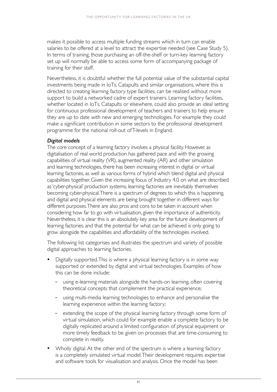makes it possible to access multiple funding streams which in turn can enable salaries to be offered at a level to attract the expertise needed (see Case Study 5). In terms of training, those purchasing an off-the-shelf or turn-key learning factory set up will normally be able to access some form of accompanying package of training for their staff.

Nevertheless, it is doubtful whether the full potential value of the substantial capital investments being made in IoTs, Catapults and similar organisations, where this is directed to creating learning factory type facilities, can be realised without more support to build a networked cadre of expert trainers. Learning factory facilities, whether located in IoTs, Catapults or elsewhere, could also provide an ideal setting for continuous professional development of teachers and trainers to help ensure they are up to date with new and emerging technologies. For example they could make a significant contribution in some sectors to the professional development programme for the national roll-out of T-levels in England.

## *Digital models*

The core concept of a learning factory involves a physical facility. However, as digitalisation of real world production has gathered pace and with the growing capabilities of virtual reality (VR), augmented reality (AR) and other simulation and learning technologies, there has been increasing interest in digital or virtual learning factories, as well as various forms of hybrid which blend digital and physical capabilities together. Given the increasing focus of Industry 4.0 on what are described as 'cyber-physical' production systems, learning factories are inevitably themselves becoming cyber-physical. There is a spectrum of degrees to which this is happening, and digital and physical elements are being brought together in different ways for different purposes. There are also pros and cons to be taken in account when considering how far to go with virtualisation, given the importance of authenticity. Nevertheless, it is clear this is an absolutely key area for the future development of learning factories, and that the potential for what can be achieved is only going to grow alongside the capabilities and affordability of the technologies involved.

The following list categorises and illustrates the spectrum and variety of possible digital approaches to learning factories.

- Digitally supported. This is where a physical learning factory is in some way supported or extended by digital and virtual technologies. Examples of how this can be done include:
	- using e-learning materials alongside the hands-on learning, often covering theoretical concepts that complement the practical experience;
	- using multi-media learning technologies to enhance and personalise the learning experience within the learning factory;
	- extending the scope of the physical learning factory through some form of virtual simulation, which could for example enable a complete factory to be digitally replicated around a limited configuration of physical equipment or more timely feedback to be given on processes that are time-consuming to complete in reality.
- Wholly digital. At the other end of the spectrum is where a learning factory is a completely simulated virtual model. Their development requires expertise and software tools for visualisation and analysis. Once the model has been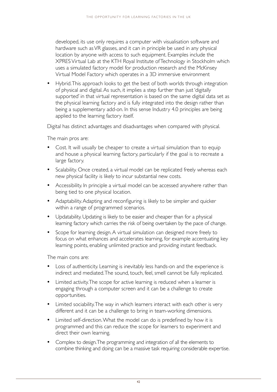developed, its use only requires a computer with visualisation software and hardware such as VR glasses, and it can in principle be used in any physical location by anyone with access to such equipment. Examples include the [XPRES Virtual Lab](https://www.kth.se/mmk/mechatronics/current-projects/excellence-in-production-research-xpres-1.437043) at the KTH Royal Institute of Technology in Stockholm which uses a simulated factory model for production research and the [McKinsey](https://www.mckinsey.com/~/media/McKinsey/Business%20Functions/Operations/How%20we%20help%20clients/Capability%20Center%20Network/PDFs/Virtual%20Model%20Factory%20Brochure.ashx)  [Virtual Model Factory](https://www.mckinsey.com/~/media/McKinsey/Business%20Functions/Operations/How%20we%20help%20clients/Capability%20Center%20Network/PDFs/Virtual%20Model%20Factory%20Brochure.ashx) which operates in a 3D immersive environment

Hybrid. This approach looks to get the best of both worlds through integration of physical and digital. As such, it implies a step further than just 'digitally supported' in that virtual representation is based on the same digital data set as the physical learning factory and is fully integrated into the design rather than being a supplementary add-on. In this sense Industry 4.0 principles are being applied to the learning factory itself.

Digital has distinct advantages and disadvantages when compared with physical.

The main pros are:

- Cost. It will usually be cheaper to create a virtual simulation than to equip and house a physical learning factory, particularly if the goal is to recreate a large factory.
- Scalability. Once created, a virtual model can be replicated freely whereas each new physical facility is likely to incur substantial new costs.
- Accessibility. In principle a virtual model can be accessed anywhere rather than being tied to one physical location.
- Adaptability. Adapting and reconfiguring is likely to be simpler and quicker within a range of programmed scenarios.
- Updatability. Updating is likely to be easier and cheaper than for a physical learning factory which carries the risk of being overtaken by the pace of change.
- Scope for learning design. A virtual simulation can designed more freely to focus on what enhances and accelerates learning, for example accentuating key learning points, enabling unlimited practice and providing instant feedback.

The main cons are:

- Loss of authenticity. Learning is inevitably less hands-on and the experience is indirect and mediated. The sound, touch, feel, smell cannot be fully replicated.
- Limited activity. The scope for active learning is reduced when a learner is engaging through a computer screen and it can be a challenge to create opportunities.
- Limited sociability. The way in which learners interact with each other is very different and it can be a challenge to bring in team-working dimensions.
- Limited self-direction. What the model can do is predefined by how it is programmed and this can reduce the scope for learners to experiment and direct their own learning.
- Complex to design. The programming and integration of all the elements to combine thinking and doing can be a massive task requiring considerable expertise.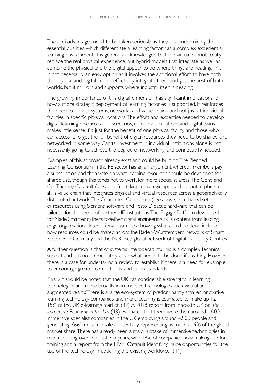These disadvantages need to be taken seriously as they risk undermining the essential qualities which differentiate a learning factory as a complex experiential learning environment. It is generally acknowledged that the virtual cannot totally replace the real physical experience, but hybrid models that integrate as well as combine the physical and the digital appear to be where things are heading. This is not necessarily an easy option as it involves the additional effort to have both the physical and digital and to effectively integrate them and get the best of both worlds, but it mirrors and supports where industry itself is heading.

The growing importance of this digital dimension has significant implications for how a more strategic deployment of learning factories is supported. It reinforces the need to look at systems, networks and value chains, and not just at individual facilities in specific physical locations. The effort and expertise needed to develop digital learning resources and scenarios, complex simulations and digital twins makes little sense if it just for the benefit of one physical facility and those who can access it. To get the full benefit of digital resources they need to be shared and networked in some way. Capital investment in individual institutions alone is not necessarily going to achieve the degree of networking and connectivity needed.

Examples of this approach already exist and could be built on. The Blended Learning Consortium in the FE sector has an arrangement whereby members pay a subscription and then vote on what learning resources should be developed for shared use, though this tends not to work for more specialist areas. The Gene and Cell Therapy Catapult (see above) is taking a strategic approach to put in place a skills value chain that integrates physical and virtual resources across a geographically distributed network. The Connected Curriculum (see above) is a shared set of resources using Siemens software and Festo Didactic hardware that can be tailored for the needs of partner HE institutions. The Engage Platform developed for Made Smarter gathers together digital engineering skills content from leading edge organisations. International examples showing what could be done include how resources could be shared across the Baden-Wurttemberg network of Smart Factories in Germany and the McKinsey global network of Digital Capability Centres.

A further question is that of systems interoperability. This is a complex technical subject and it is not immediately clear what needs to be done if anything. However, there is a case for undertaking a review to establish if there is a need for example to encourage greater compatibility and open standards.

Finally, it should be noted that the UK has considerable strengths in learning technologies and more broadly in immersive technologies such virtual and augmented reality. There is a large eco-system of predominantly smaller, innovative learning technology companies, and manufacturing is estimated to make up 12- 15% of the UK e-learning market. (42) A 2018 report from Innovate UK on *The Immersive Economy in the UK* (43) estimated that there were then around 1,000 immersive specialist companies in the UK employing around 4,500 people and generating £660 million in sales, potentially representing as much as 9% of the global market share. There has already been a major uptake of immersive technologies in manufacturing over the past 3-5 years, with 19% of companies now making use for training and a report from the HVM Catapult identifying 'huge opportunities for the use of the technology in upskilling the existing workforce'. (44)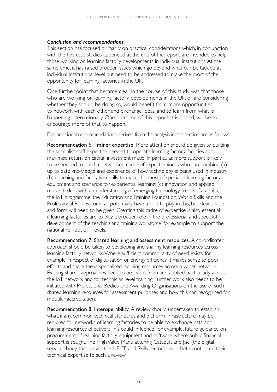## *Conclusion and recommendations*

This section has focused primarily on practical considerations which, in conjunction with the five case studies appended at the end of the report, are intended to help those working on learning factory developments in individual institutions. At the same time, it has raised broader issues which go beyond what can be tackled at individual institutional level but need to be addressed to make the most of the opportunity for learning factories in the UK.

One further point that became clear in the course of this study was that those who are working on learning factory developments in the UK, or are considering whether they should be doing so, would benefit from more opportunities to network with each other and exchange ideas, and to learn from what is happening internationally. One outcome of this report, it is hoped, will be to encourage more of that to happen.

Five additional recommendations derived from the analysis in this section are as follows.

Recommendation 6. Trainer expertise. More attention should be given to building the specialist staff expertise needed to operate learning factory facilities and maximise return on capital investment made. In particular, more support is likely to be needed to build a networked cadre of expert trainers who can combine (a) up to date knowledge and experience of how technology is being used in industry; (b) coaching and facilitation skills to make the most of specialist learning factory equipment and scenarios for experiential learning; (c) innovation and applied research skills with an understanding of emerging technology trends. Catapults, the IoT programme, the Education and Training Foundation, World Skills and the Professional Bodies could all potentially have a role to play in this, but clear shape and form will need to be given. Creating this cadre of expertise is also essential if learning factories are to play a broader role in the professional and specialist development of the teaching and training workforce, for example to support the national roll-out of T levels.

Recommendation 7. Shared learning and assessment resources. A co-ordinated approach should be taken to developing and sharing learning resources across learning factory networks. Where sufficient commonality of need exists, for example in respect of digitalisation or energy efficiency, it makes sense to pool efforts and share these specialised learning resources across a wider network. Existing shared approaches need to be learnt from and applied particularly across the IoT network and for technician level training. Further work also needs to be initiated with Professional Bodies and Awarding Organisations on the use of such shared learning resources for assessment purposes and how this can recognised for modular accreditation.

Recommendation 8. Interoperability. A review should undertaken to establish what, if any, common technical standards and platform infrastructure may be required for networks of learning factories to be able to exchange data and learning resources effectively. This could influence, for example, future guidance on procurement of learning factory equipment and software where public financial support is sought. The High Value Manufacturing Catapult and lisc (the digital services body that serves the HE, FE and Skills sector) could both contribute their technical expertise to such a review.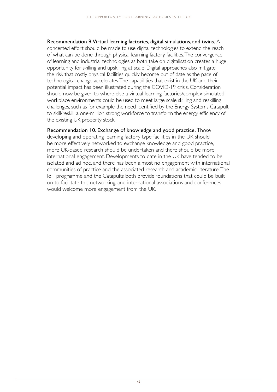Recommendation 9. Virtual learning factories, digital simulations, and twins. A concerted effort should be made to use digital technologies to extend the reach of what can be done through physical learning factory facilities. The convergence of learning and industrial technologies as both take on digitalisation creates a huge opportunity for skilling and upskilling at scale. Digital approaches also mitigate the risk that costly physical facilities quickly become out of date as the pace of technological change accelerates. The capabilities that exist in the UK and their potential impact has been illustrated during the COVID-19 crisis. Consideration should now be given to where else a virtual learning factories/complex simulated workplace environments could be used to meet large scale skilling and reskilling challenges, such as for example the need identified by the Energy Systems Catapult to skill/reskill a one-million strong workforce to transform the energy efficiency of the existing UK property stock.

Recommendation 10. Exchange of knowledge and good practice. Those developing and operating learning factory type facilities in the UK should be more effectively networked to exchange knowledge and good practice, more UK-based research should be undertaken and there should be more international engagement. Developments to date in the UK have tended to be isolated and ad hoc, and there has been almost no engagement with international communities of practice and the associated research and academic literature. The IoT programme and the Catapults both provide foundations that could be built on to facilitate this networking, and international associations and conferences would welcome more engagement from the UK.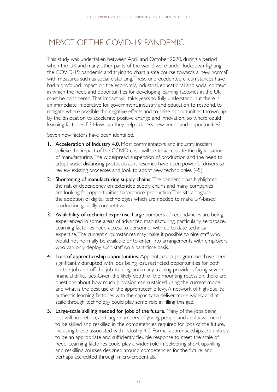## IMPACT OF THE COVID-19 PANDEMIC

This study was undertaken between April and October 2020, during a period when the UK and many other parts of the world were under lockdown fighting the COVID-19 pandemic and trying to chart a safe course towards a 'new normal' with measures such as social distancing. These unprecedented circumstances have had a profound impact on the economic, industrial, educational and social context in which the need and opportunities for developing learning factories in the UK must be considered. That impact will take years to fully understand, but there is an immediate imperative for government, industry and education to respond, to mitigate where possible the negative effects and to seize opportunities thrown up by the dislocation to accelerate positive change and innovation. So where could learning factories fit? How can they help address new needs and opportunities?

Seven new factors have been identified.

- 1. Acceleration of Industry 4.0. Most commentators and industry insiders believe the impact of the COVID crisis will be to accelerate the digitalisation of manufacturing. The widespread suspension of production and the need to adopt social distancing protocols as it resumes have been powerful drivers to review existing processes and look to adopt new technologies (45).
- 2. Shortening of manufacturing supply chains. The pandemic has highlighted the risk of dependency on extended supply chains and many companies are looking for opportunities to 'onshore' production. This sits alongside the adoption of digital technologies which are needed to make UK-based production globally competitive.
- 3. Availability of technical expertise. Large numbers of redundancies are being experienced in some areas of advanced manufacturing, particularly aerospace. Learning factories need access to personnel with up to date technical expertise. The current circumstances may make it possible to hire staff who would not normally be available or to enter into arrangements with employers who can only deploy such staff on a part-time basis.
- 4. Loss of apprenticeship opportunities. Apprenticeship programmes have been significantly disrupted with jobs being lost, restricted opportunities for both on-the-job and off-the-job training, and many training providers facing severe financial difficulties. Given the likely depth of the mounting recession, there are questions about how much provision can sustained using the current model and what is the best use of the apprenticeship levy. A network of high-quality, authentic learning factories with the capacity to deliver more widely and at scale through technology could play some role in filling this gap.
- 5. Large-scale skilling needed for jobs of the future. Many of the jobs being lost will not return, and large numbers of young people and adults will need to be skilled and reskilled in the competencies required for jobs of the future, including those associated with Industry 4.0. Formal apprenticeships are unlikely to be an appropriate and sufficiently flexible response to meet the scale of need. Learning factories could play a wider role in delivering short upskilling and reskilling courses designed around competencies for the future, and perhaps accredited through micro-credentials.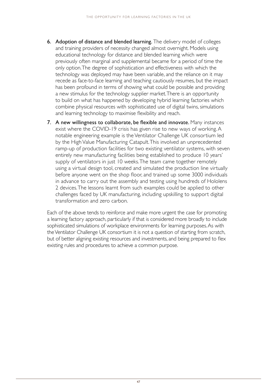- 6. Adoption of distance and blended learning. The delivery model of colleges and training providers of necessity changed almost overnight. Models using educational technology for distance and blended learning which were previously often marginal and supplemental became for a period of time the only option. The degree of sophistication and effectiveness with which the technology was deployed may have been variable, and the reliance on it may recede as face-to-face learning and teaching cautiously resumes, but the impact has been profound in terms of showing what could be possible and providing a new stimulus for the technology supplier market. There is an opportunity to build on what has happened by developing hybrid learning factories which combine physical resources with sophisticated use of digital twins, simulations and learning technology to maximise flexibility and reach.
- 7. A new willingness to collaborate, be flexible and innovate. Many instances exist where the COVID-19 crisis has given rise to new ways of working. A notable engineering example is the Ventilator Challenge UK consortium led by the High Value Manufacturing Catapult. This involved an unprecedented ramp-up of production facilities for two existing ventilator systems, with seven entirely new manufacturing facilities being established to produce 10 years' supply of ventilators in just 10 weeks. The team came together remotely using a virtual design tool, created and simulated the production line virtually before anyone went on the shop floor, and trained up some 3000 individuals in advance to carry out the assembly and testing using hundreds of Hololens 2 devices. The lessons learnt from such examples could be applied to other challenges faced by UK manufacturing, including upskilling to support digital transformation and zero carbon.

Each of the above tends to reinforce and make more urgent the case for promoting a learning factory approach, particularly if that is considered more broadly to include sophisticated simulations of workplace environments for learning purposes. As with the Ventilator Challenge UK consortium it is not a question of starting from scratch, but of better aligning existing resources and investments, and being prepared to flex existing rules and procedures to achieve a common purpose.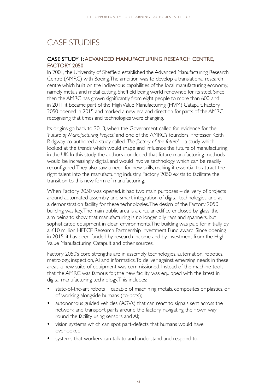## CASE STUDIES

## CASE STUDY 1: ADVANCED MANUFACTURING RESEARCH CENTRE, FACTORY 2050

In 2001, the University of Sheffield established the Advanced Manufacturing Research Centre (AMRC) with Boeing. The ambition was to develop a translational research centre which built on the indigenous capabilities of the local manufacturing economy, namely metals and metal cutting, Sheffield being world renowned for its steel. Since then the AMRC has grown significantly from eight people to more than 600, and in 2011 it became part of the High Value Manufacturing (HVM) Catapult. Factory 2050 opened in 2015 and marked a new era and direction for parts of the AMRC, recognising that times and technologies were changing.

Its origins go back to 2013, when the Government called for evidence for the *'Future of Manufacturing Project'* and one of the AMRC's founders, Professor Keith Ridgway co-authored a study called *'The factory of the future'* – a study which looked at the trends which would shape and influence the future of manufacturing in the UK. In this study, the authors concluded that future manufacturing methods would be increasingly digital, and would involve technology which can be readily reconfigured. They also saw a need for new skills, making it essential to attract the right talent into the manufacturing industry. Factory 2050 exists to facilitate the transition to this new form of manufacturing.

When Factory 2050 was opened, it had two main purposes – delivery of projects around automated assembly and smart integration of digital technologies, and as a demonstration facility for these technologies. The design of the Factory 2050 building was key. The main public area is a circular edifice enclosed by glass, the aim being to show that manufacturing is no longer oily rags and spanners, but sophisticated equipment in clean environments. The building was paid for initially by a £10 million HEFCE Research Partnership Investment Fund award. Since opening in 2015, it has been funded by research income and by investment from the High Value Manufacturing Catapult and other sources.

Factory 2050's core strengths are in assembly technologies, automation, robotics, metrology, inspection, AI and informatics. To deliver against emerging needs in these areas, a new suite of equipment was commissioned. Instead of the machine tools that the AMRC was famous for, the new facility was equipped with the latest in digital manufacturing technology. This includes:

- state-of-the-art robots capable of machining metals, composites or plastics, or of working alongside humans (co-bots);
- autonomous guided vehicles (AGVs) that can react to signals sent across the network and transport parts around the factory, navigating their own way round the facility using sensors and AI;
- vision systems which can spot part-defects that humans would have overlooked;
- systems that workers can talk to and understand and respond to.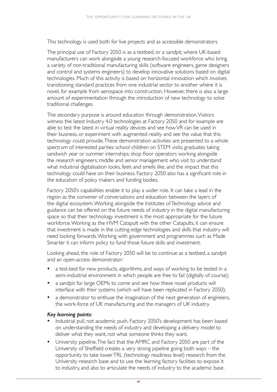This technology is used both for live projects and as accessible demonstrators.

The principal use of Factory 2050 is as a testbed, or a sandpit, where UK-based manufacturers can work alongside a young research-focused workforce who bring a variety of non-traditional manufacturing skills (software engineers, game designers and control and systems engineers) to develop innovative solutions based on digital technologies. Much of this activity is based on horizontal innovation which involves transitioning standard practices from one industrial sector to another where it is novel, for example from aerospace into construction. However, there is also a large amount of experimentation through the introduction of new technology to solve traditional challenges.

The secondary purpose is around education through demonstration. Visitors witness the latest Industry 4.0 technologies at Factory 2050 and for example are able to test the latest in virtual reality devices and see how VR can be used in their business, or experiment with augmented reality and see the value that this technology could provide. These demonstration activities are presented to a whole spectrum of interested parties: school children on STEM visits; graduates taking sandwich year or summer internships; shop floor operators working alongside the research engineers; middle and senior management who visit to understand what industrial digitalisation looks, feels and smells like, and the impact that this technology could have on their business. Factory 2050 also has a significant role in the education of policy makers and funding bodies.

Factory 2050's capabilities enable it to play a wider role. It can take a lead in the region as the convener of conversations and education between the layers of the digital ecosystem. Working alongside the Institutes of Technology advice and guidance can be offered on the future needs of industry in the digital manufacturing space so that their technology investment is the most appropriate for the future workforce. Working as the HVM Catapult with the other Catapults, it can ensure that investment is made in the cutting-edge technologies and skills that industry will need looking forwards. Working with government and programmes such as Made Smarter it can inform policy to fund those future skills and investment.

Looking ahead, the role of Factory 2050 will be to continue as a testbed, a sandpit and an open-access demonstrator:

- a test-bed for new products, algorithms, and ways of working to be tested in a semi-industrial environment in which people are free to fail (digitally of course);
- a sandpit for large OEMs to come and see how these novel products will interface with their systems (which will have been replicated in Factory 2050);
- a demonstrator to enthuse the imagination of the next generation of engineers, the work-force of UK manufacturing and the managers of UK industry.

## *Key learning points:*

- Industrial pull, not academic push. Factory 2050's development has been based on understanding the needs of industry and developing a delivery model to deliver what they want, not what someone thinks they want.
- University pipeline. The fact that the AMRC and Factory 2050 are part of the University of Sheffield creates a very strong pipeline going both ways – the opportunity to take lower TRL (technology readiness level) research from the University research base and to use the learning factory facilities to expose it to industry, and also to articulate the needs of industry to the academic base.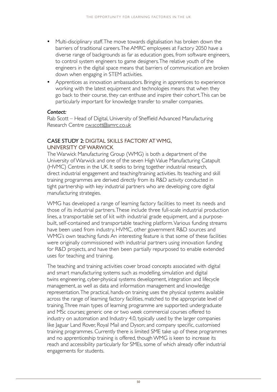- Multi-disciplinary staff. The move towards digitalisation has broken down the barriers of traditional careers. The AMRC employees at Factory 2050 have a diverse range of backgrounds as far as education goes, from software engineers, to control system engineers to game designers. The relative youth of the engineers in the digital space means that barriers of communication are broken down when engaging in STEM activities.
- Apprentices as innovation ambassadors. Bringing in apprentices to experience working with the latest equipment and technologies means that when they go back to their course, they can enthuse and inspire their cohort. This can be particularly important for knowledge transfer to smaller companies.

## *Contact:*

Rab Scott – Head of Digital, University of Sheffield Advanced Manufacturing Research Centre [r.w.scott@amrc.co.uk](mailto:r.w.scott@amrc.co.uk)

## CASE STUDY 2: DIGITAL SKILLS FACTORY AT WMG, UNIVERSITY OF WARWICK

The Warwick Manufacturing Group (WMG) is both a department of the University of Warwick and one of the seven High Value Manufacturing Catapult (HVMC) Centres in the UK. It seeks to bring together industrial research, direct industrial engagement and teaching/training activities. Its teaching and skill training programmes are derived directly from its R&D activity conducted in tight partnership with key industrial partners who are developing core digital manufacturing strategies.

WMG has developed a range of learning factory facilities to meet its needs and those of its industrial partners. These include three full-scale industrial production lines, a transportable set of kit with industrial grade equipment, and a purposebuilt, self-contained and transportable teaching platform. Various funding streams have been used from industry, HVMC, other government R&D sources and WMG's own teaching funds An interesting feature is that some of these facilities were originally commissioned with industrial partners using innovation funding for R&D projects, and have then been partially repurposed to enable extended uses for teaching and training.

The teaching and training activities cover broad concepts associated with digital and smart manufacturing systems such as modelling, simulation and digital twins engineering, cyber-physical systems development, integration and lifecycle management, as well as data and information management and knowledge representation. The practical, hands-on training uses the physical systems available across the range of learning factory facilities, matched to the appropriate level of training. Three main types of learning programme are supported: undergraduate and MSc courses; generic one or two week commercial courses offered to industry on automation and Industry 4.0, typically used by the larger companies like Jaguar Land Rover, Royal Mail and Dyson; and company specific, customised training programmes. Currently there is limited SME take up of these programmes and no apprenticeship training is offered, though WMG is keen to increase its reach and accessibility particularly for SMEs, some of which already offer industrial engagements for students.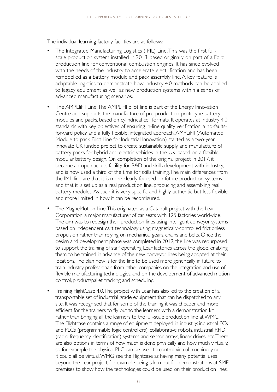The individual learning factory facilities are as follows:

- The Integrated Manufacturing Logistics (IML) Line. This was the first fullscale production system installed in 2013, based originally on part of a Ford production line for conventional combustion engines. It has since evolved with the needs of the industry to accelerate electrification and has been remodelled as a battery module and pack assembly line. A key feature is adaptable logistics to demonstrate how Industry 4.0 methods can be applied to legacy equipment as well as new production systems within a series of advanced manufacturing scenarios.
- The AMPLIiFII Line. The AMPLiFII pilot line is part of the Energy Innovation Centre and supports the manufacture of pre-production prototype battery modules and packs, based on cylindrical cell formats. It operates at industry 4.0 standards with key objectives of ensuring in-line quality verification, a no-faultsforward policy and a fully flexible, integrated approach. AMPLiFII (Automated Module to pack Pilot Line for Industrial Innovation) started as a two-year Innovate UK funded project to create sustainable supply and manufacture of battery packs for hybrid and electric vehicles in the UK, based on a flexible, modular battery design. On completion of the original project in 2017, it became an open access facility for R&D and skills development with industry, and is now used a third of the time for skills training. The main differences from the IML line are that it is more clearly focused on future production systems and that it is set up as a real production line, producing and assembling real battery modules. As such it is very specific and highly authentic but less flexible and more limited in how it can be reconfigured.
- The MagneMotion Line. This originated as a Catapult project with the Lear Corporation, a major manufacturer of car seats with 125 factories worldwide. The aim was to redesign their production lines using intelligent conveyor systems based on independent cart technology using magnetically-controlled frictionless propulsion rather than relying on mechanical gears, chains and belts. Once the design and development phase was completed in 2019, the line was repurposed to support the training of staff operating Lear factories across the globe, enabling them to be trained in advance of the new conveyor lines being adopted at their locations. The plan now is for the line to be used more generically in future to train industry professionals from other companies on the integration and use of flexible manufacturing technologies, and on the development of advanced motion control, product/pallet tracking and scheduling.
- Training FlightCase 4.0. The project with Lear has also led to the creation of a transportable set of industrial grade equipment that can be dispatched to any site. It was recognised that for some of the training it was cheaper and more efficient for the trainers to fly out to the learners with a demonstration kit rather than bringing all the learners to the full-scale production line at WMG. The Flightcase contains a range of equipment deployed in industry: industrial PCs and PLCs (programmable logic controllers), collaborative robots, industrial RFID (radio frequency identification) systems and sensor arrays, linear drives, etc. There are also options in terms of how much is done physically and how much virtually, so for example the physical PLC can be used to control virtual machinery or it could all be virtual. WMG see the Flightcase as having many potential uses beyond the Lear project, for example being taken out for demonstrations at SME premises to show how the technologies could be used on their production lines.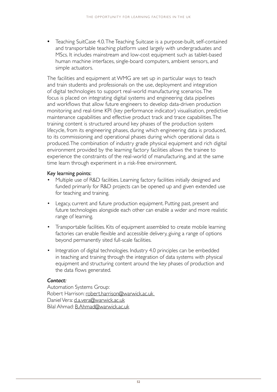Teaching SuitCase 4.0. The Teaching Suitcase is a purpose-built, self-contained and transportable teaching platform used largely with undergraduates and MScs. It includes mainstream and low-cost equipment such as tablet-based human machine interfaces, single-board computers, ambient sensors, and simple actuators.

The facilities and equipment at WMG are set up in particular ways to teach and train students and professionals on the use, deployment and integration of digital technologies to support real-world manufacturing scenarios. The focus is placed on integrating digital systems and engineering data pipelines and workflows that allow future engineers to develop data-driven production monitoring and real-time KPI (key performance indicator) visualisation, predictive maintenance capabilities and effective product track and trace capabilities. The training content is structured around key phases of the production system lifecycle, from its engineering phases, during which engineering data is produced, to its commissioning and operational phases during which operational data is produced. The combination of industry grade physical equipment and rich digital environment provided by the learning factory facilities allows the trainee to experience the constraints of the real-world of manufacturing, and at the same time learn through experiment in a risk-free environment.

## Key learning points:

- Multiple use of R&D facilities. Learning factory facilities initially designed and funded primarily for R&D projects can be opened up and given extended use for teaching and training.
- Legacy, current and future production equipment. Putting past, present and future technologies alongside each other can enable a wider and more realistic range of learning.
- Transportable facilities. Kits of equipment assembled to create mobile learning factories can enable flexible and accessible delivery, giving a range of options beyond permanently sited full-scale facilities.
- Integration of digital technologies. Industry 4.0 principles can be embedded in teaching and training through the integration of data systems with physical equipment and structuring content around the key phases of production and the data flows generated.

## *Contact:*

Automation Systems Group: Robert Harrison: [robert.harrison@warwick.ac.uk](mailto:robert.harrison@warwick.ac.uk)  Daniel Vera: [d.a.vera@warwick.ac.uk](mailto:d.a.vera@warwick.ac.uk) Bilal Ahmad: [B.Ahmad@warwick.ac.uk](mailto:B.Ahmad@warwick.ac.uk)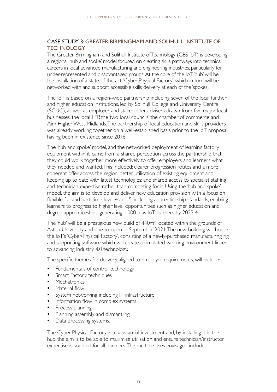## CASE STUDY 3: GREATER BIRMINGHAM AND SOLIHULL INSTITUTE OF **TECHNOLOGY**

The Greater Birmingham and Solihull Institute of Technology (GBS IoT) is developing a regional 'hub and spoke' model focused on creating skills pathways into technical careers in local advanced manufacturing and engineering industries, particularly for under-represented and disadvantaged groups. At the core of the IoT 'hub' will be the installation of a state-of-the-art, 'Cyber-Physical Factory', which in turn will be networked with and support accessible skills delivery at each of the 'spokes'.

The IoT is based on a region-wide partnership including seven of the local further and higher education institutions, led by Solihull College and University Centre (SCUC), as well as employer and stakeholder advisers drawn from five major local businesses, the local LEP, the two local councils, the chamber of commerce and Aim Higher West Midlands. The partnership of local education and skills providers was already working together on a well-established basis prior to the IoT proposal, having been in existence since 2016.

The 'hub and spoke' model, and the networked deployment of learning factory equipment within it, came from a shared perception across the partnership that they could work together more effectively to offer employers and learners what they needed and wanted. This included: clearer progression routes and a more coherent offer across the region; better utilisation of existing equipment and keeping up to date with latest technologies; and shared access to specialist staffing and technician expertise rather than competing for it. Using the 'hub and spoke' model, the aim is to develop and deliver new education provision with a focus on flexible full and part-time level 4 and 5, including apprenticeship standards, enabling learners to progress to higher level opportunities such as higher education and degree apprenticeships: generating 1,000 plus IoT learners by 2023-4.

The 'hub' will be a prestigious new build of  $440\mathsf{m}^2$  located within the grounds of Aston University and due to open in September 2021. The new building will house the IoT's 'Cyber-Physical Factory', consisting of a newly-purchased manufacturing rig and supporting software which will create a simulated working environment linked to advancing Industry 4.0 technology.

The specific themes for delivery, aligned to employer requirements, will include:

- Fundamentals of control technology
- Smart Factory techniques
- **Mechatronics**
- Material flow
- System networking including IT infrastructure
- Information flow in complex systems
- Process planning
- Planning assembly and dismantling
- Data processing systems.

The Cyber-Physical Factory is a substantial investment and, by installing it in the hub, the aim is to be able to maximise utilisation and ensure technician/instructor expertise is sourced for all partners. The multiple uses envisaged include: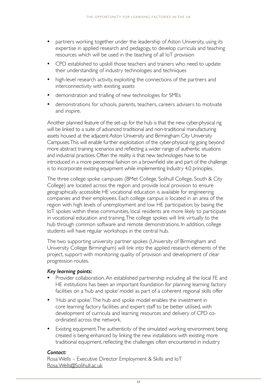- partners working together under the leadership of Aston University, using its expertise in applied research and pedagogy, to develop curricula and teaching resources which will be used in the teaching of all IoT provision
- CPD established to upskill those teachers and trainers who need to update their understanding of industry technologies and techniques
- high-level research activity, exploiting the connections of the partners and interconnectivity with existing assets
- demonstration and trialling of new technologies for SMEs
- demonstrations for schools, parents, teachers, careers advisers to motivate and inspire.

Another planned feature of the set-up for the hub is that the new cyber-physical rig will be linked to a suite of advanced traditional and non-traditional manufacturing assets housed at the adjacent Aston University and Birmingham City University Campuses. This will enable further exploitation of the cyber-physical rig going beyond more abstract training scenarios and reflecting a wider range of authentic situations and industrial practices. Often the reality is that new technologies have to be introduced in a more piecemeal fashion on a brownfield site and part of the challenge is to incorporate existing equipment while implementing Industry 4.0 principles.

The three college spoke campuses (BMet College, Solihull College, South & City College) are located across the region and provide local provision to ensure geographically accessible HE vocational education is available for engineering companies and their employees. Each college campus is located in an area of the region with high levels of unemployment and low HE participation; by basing the IoT spokes within these communities, local residents are more likely to participate in vocational education and training. The college spokes will link virtually to the hub through common software and remote demonstrations. In addition, college students will have regular workshops in the central hub.

The two supporting university partner spokes (University of Birmingham and University College Birmingham) will link into the applied research elements of the project, support with monitoring quality of provision and development of clear progression routes.

### *Key learning points:*

- Provider collaboration. An established partnership including all the local FE and HE institutions has been an important foundation for planning learning factory facilities on a 'hub and spoke' model as part of a coherent regional skills offer
- 'Hub and spoke'. The hub and spoke model enables the investment in core learning factory facilities and expert staff to be better utilised, with development of curricula and learning resources and delivery of CPD coordinated across the network.
- Existing equipment. The authenticity of the simulated working environment being created is being enhanced by linking the new installations with existing more traditional equipment, reflecting the challenges often encountered in industry.

### *Contact:*

Rosa Wells – Executive Director Employment & Skills and IoT [Rosa.Wells@Solihull.ac.uk](mailto:Rosa.Wells@Solihull.ac.uk)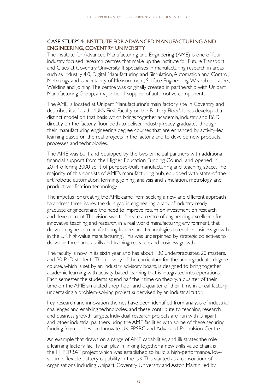## CASE STUDY 4: INSTITUTE FOR ADVANCED MANUFACTURING AND ENGINEERING, COVENTRY UNIVERSITY

The Institute for Advanced Manufacturing and Engineering (AME) is one of four industry focused research centres that make up the Institute for Future Transport and Cities at Coventry University. It specialises in manufacturing research in areas such as Industry 4.0, Digital Manufacturing and Simulation, Automation and Control, Metrology and Uncertainty of Measurement, Surface Engineering, Wearables, Lasers, Welding and Joining. The centre was originally created in partnership with Unipart Manufacturing Group, a major tier 1 supplier of automotive components.

The AME is located at Unipart Manufacturing's main factory site in Coventry and describes itself as the 'UK's First Faculty on the Factory Floor'. It has developed a distinct model on that basis which brings together academia, industry and R&D directly on the factory floor, both to deliver industry-ready graduates through their manufacturing engineering degree courses that are enhanced by activity-led learning based on the real projects in the factory, and to develop new products, processes and technologies.

The AME was built and equipped by the two principal partners with additional financial support from the Higher Education Funding Council and opened in 2014 offering 2000 sq ft of purpose-built manufacturing and teaching space. The majority of this consists of AME's manufacturing hub, equipped with state-of-theart robotic automation, forming, joining, analysis and simulation, metrology and product verification technology.

The impetus for creating the AME came from seeking a new and different approach to address three issues: the skills gap in engineering; a lack of industry-ready graduate engineers; and the need to improve return on investment on research and development. The vision was to "create a centre of engineering excellence for innovative teaching and research, in a real world manufacturing environment, that delivers engineers, manufacturing leaders and technologies to enable business growth in the UK high-value manufacturing". This was underpinned by strategic objectives to deliver in three areas: skills and training; research; and business growth.

The faculty is now in its sixth year and has about 130 undergraduates, 20 masters, and 30 PhD students. The delivery of the curriculum for the undergraduate degree course, which is set by an industry advisory board, is designed to bring together academic learning with activity-based learning that is integrated into operations. Each semester the students spend half their time on theory, a quarter of their time on the AME simulated shop floor and a quarter of their time in a real factory, undertaking a problem-solving project supervised by an industrial tutor.

Key research and innovation themes have been identified from analysis of industrial challenges and enabling technologies, and these contribute to teaching, research and business growth targets. Individual research projects are run with Unipart and other industrial partners using the AME facilities with some of these securing funding from bodies like Innovate UK, EPSRC and Advanced Propulsion Centre.

An example that draws on a range of AME capabilities, and illustrates the role a learning factory facility can play in linking together a new skills value chain, is the H1PERBAT project which was established to build a high-performance, lowvolume, flexible battery capability in the UK. This started as a consortium of organisations including Unipart, Coventry University and Aston Martin, led by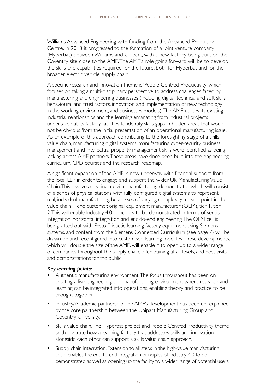Williams Advanced Engineering with funding from the Advanced Propulsion Centre. In 2018 it progressed to the formation of a joint venture company (Hyperbat) between Williams and Unipart, with a new factory being built on the Coventry site close to the AME. The AME's role going forward will be to develop the skills and capabilities required for the future, both for Hyperbat and for the broader electric vehicle supply chain.

A specific research and innovation theme is 'People-Centred Productivity' which focuses on taking a multi-disciplinary perspective to address challenges faced by manufacturing and engineering businesses (including digital, technical and soft skills, behavioural and trust factors, innovation and implementation of new technology in the working environment, and businesses models). The AME utilises its existing industrial relationships and the learning emanating from industrial projects undertaken at its factory facilities to identify skills gaps in hidden areas that would not be obvious from the initial presentation of an operational manufacturing issue. As an example of this approach contributing to the foresighting stage of a skills value chain, manufacturing digital systems, manufacturing cyber-security, business management and intellectual property management skills were identified as being lacking across AME partners. These areas have since been built into the engineering curriculum, CPD courses and the research roadmap.

A significant expansion of the AME is now underway with financial support from the local LEP in order to engage and support the wider UK Manufacturing Value Chain. This involves creating a digital manufacturing demonstrator which will consist of a series of physical stations with fully configured digital systems to represent real, individual manufacturing businesses of varying complexity at each point in the value chain – end customer, original equipment manufacturer (OEM), tier 1, tier 2. This will enable Industry 4.0 principles to be demonstrated in terms of vertical integration, horizontal integration and end-to-end engineering. The OEM cell is being kitted out with Festo Didactic learning factory equipment using Siemens systems, and content from the Siemens Connected Curriculum (see page 7) will be drawn on and reconfigured into customised learning modules. These developments, which will double the size of the AME, will enable it to open up to a wider range of companies throughout the supply chain, offer training at all levels, and host visits and demonstrations for the public.

## *Key learning points:*

- Authentic manufacturing environment. The focus throughout has been on creating a live engineering and manufacturing environment where research and learning can be integrated into operations, enabling theory and practice to be brought together.
- Industry/Academic partnership. The AME's development has been underpinned by the core partnership between the Unipart Manufacturing Group and Coventry University.
- Skills value chain. The Hyperbat project and People Centred Productivity theme both illustrate how a learning factory that addresses skills and innovation alongside each other can support a skills value chain approach.
- Supply chain integration. Extension to all steps in the high-value manufacturing chain enables the end-to-end integration principles of Industry 4.0 to be demonstrated as well as opening up the facility to a wider range of potential users.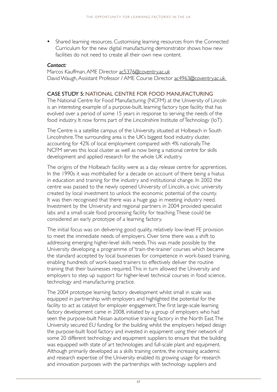Shared learning resources. Customising learning resources from the Connected Curriculum for the new digital manufacturing demonstrator shows how new facilities do not need to create all their own new content.

### *Contact:*

Marcos Kauffman, AME Director [ac5376@coventry.ac.uk](mailto:ac5376@coventry.ac.uk) David Waugh, Assistant Professor / AME Course Director [ac4963@coventry.ac.uk](mailto:ac4963@coventry.ac.uk)

## CASE STUDY 5: NATIONAL CENTRE FOR FOOD MANUFACTURING

The National Centre for Food Manufacturing (NCFM) at the University of Lincoln is an interesting example of a purpose-built, learning factory type facility that has evolved over a period of some 15 years in response to serving the needs of the food industry. It now forms part of the Lincolnshire Institute of Technology (IoT).

The Centre is a satellite campus of the University, situated at Holbeach in South Lincolnshire. The surrounding area is the UK's biggest food industry cluster, accounting for 42% of local employment compared with 4% nationally. The NCFM serves this local cluster as well as now being a national centre for skills development and applied research for the whole UK industry.

The origins of the Holbeach facility were as a day release centre for apprentices. In the 1990s it was mothballed for a decade on account of there being a hiatus in education and training for the industry and institutional change. In 2002 the centre was passed to the newly opened University of Lincoln, a civic university created by local investment to unlock the economic potential of the county. It was then recognised that there was a huge gap in meeting industry need. Investment by the University and regional partners in 2004 provided specialist labs and a small-scale food processing facility for teaching. These could be considered an early prototype of a learning factory.

The initial focus was on delivering good quality, relatively low-level FE provision to meet the immediate needs of employers. Over time there was a shift to addressing emerging higher-level skills needs. This was made possible by the University developing a programme of 'train-the-trainer' courses which became the standard accepted by local businesses for competence in work-based training, enabling hundreds of work-based trainers to effectively deliver the routine training that their businesses required. This in turn allowed the University and employers to step up support for higher-level technical courses in food science, technology and manufacturing practice.

The 2004 prototype learning factory development whilst small in scale was equipped in partnership with employers and highlighted the potential for the facility to act as catalyst for employer engagement. The first large-scale learning factory development came in 2008, initiated by a group of employers who had seen the purpose-built Nissan automotive training factory in the North East. The University secured EU funding for the building whilst the employers helped design the purpose-built food factory and invested in equipment using their network of some 20 different technology and equipment suppliers to ensure that the building was equipped with state of art technologies and full-scale plant and equipment. Although primarily developed as a skills training centre, the increasing academic and research expertise of the University enabled its growing usage for research and innovation purposes with the partnerships with technology suppliers and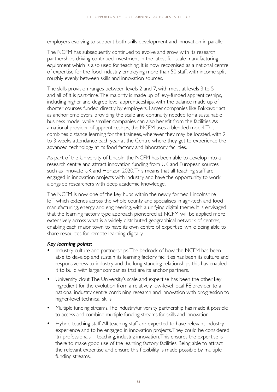employers evolving to support both skills development and innovation in parallel.

The NCFM has subsequently continued to evolve and grow, with its research partnerships driving continued investment in the latest full-scale manufacturing equipment which is also used for teaching. It is now recognised as a national centre of expertise for the food industry, employing more than 50 staff, with income split roughly evenly between skills and innovation sources.

The skills provision ranges between levels 2 and 7, with most at levels 3 to 5 and all of it is part-time. The majority is made up of levy-funded apprenticeships, including higher and degree level apprenticeships, with the balance made up of shorter courses funded directly by employers. Larger companies like Bakkavor act as anchor employers, providing the scale and continuity needed for a sustainable business model, while smaller companies can also benefit from the facilities. As a national provider of apprenticeships, the NCFM uses a blended model. This combines distance learning for the trainees, wherever they may be located, with 2 to 3 weeks attendance each year at the Centre where they get to experience the advanced technology at its food factory and laboratory facilities.

As part of the University of Lincoln, the NCFM has been able to develop into a research centre and attract innovation funding from UK and European sources such as Innovate UK and Horizon 2020. This means that all teaching staff are engaged in innovation projects with industry and have the opportunity to work alongside researchers with deep academic knowledge.

The NCFM is now one of the key hubs within the newly formed Lincolnshire IoT which extends across the whole county and specialises in agri-tech and food manufacturing, energy and engineering, with a unifying digital theme. It is envisaged that the learning factory type approach pioneered at NCFM will be applied more extensively across what is a widely distributed geographical network of centres, enabling each major town to have its own centre of expertise, while being able to share resources for remote learning digitally.

## *Key learning points:*

- Industry culture and partnerships. The bedrock of how the NCFM has been able to develop and sustain its learning factory facilities has been its culture and responsiveness to industry and the long-standing relationships this has enabled it to build with larger companies that are its anchor partners.
- University clout. The University's scale and expertise has been the other key ingredient for the evolution from a relatively low-level local FE provider to a national industry centre combining research and innovation with progression to higher-level technical skills.
- Multiple funding streams. The industry/university partnership has made it possible to access and combine multiple funding streams for skills and innovation.
- Hybrid teaching staff. All teaching staff are expected to have relevant industry experience and to be engaged in innovation projects. They could be considered 'tri professionals' – teaching, industry, innovation. This ensures the expertise is there to make good use of the learning factory facilities. Being able to attract the relevant expertise and ensure this flexibility is made possible by multiple funding streams.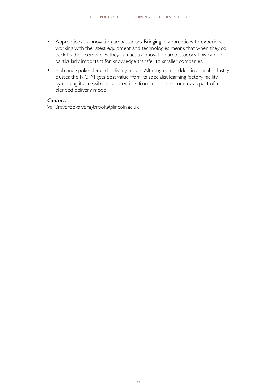- Apprentices as innovation ambassadors. Bringing in apprentices to experience working with the latest equipment and technologies means that when they go back to their companies they can act as innovation ambassadors. This can be particularly important for knowledge transfer to smaller companies.
- Hub and spoke blended delivery model. Although embedded in a local industry cluster, the NCFM gets best value from its specialist learning factory facility by making it accessible to apprentices from across the country as part of a blended delivery model.

## *Contact:*

Val Braybrooks [vbraybrooks@lincoln.ac.uk](mailto:vbraybrooks@lincoln.ac.uk)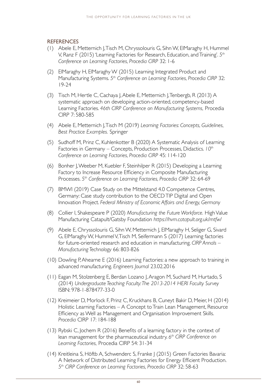## **REFERENCES**

- (1) Abele E, Metternich J, Tisch M, Chryssolouris G, Sihn W, ElMaraghy H, Hummel V, Ranz F (2015) 'Learning Factories for Research, Education, and Training'. *5th Conference on Learning Factories, Procedia CIRP* 32: 1-6
- (2) ElMaraghy H, ElMaraghy W (2015) Learning Integrated Product and Manufacturing Systems. *5th Conference on Learning Factories, Procedia CIRP* 32: 19-24
- (3) Tisch M, Hertle C, Cachaya J, Abele E, Metternich J, Tenbergb, R (2013) A systematic approach on developing action-oriented, competency-based Learning Factories. *46th CIRP Conference on Manufacturing Systems,* Procedia CIRP 7: 580-585
- (4) Abele E, Metternich J, Tisch M (2019) *Learning Factories: Concepts, Guidelines, Best Practice Examples.* Springer
- (5) Sudhoff M, Prinz C, Kuhlenkotter B (2020) A Systematic Analysis of Learning Factories in Germany – Concepts, Production Processes, Didactics. *10<sup>th</sup> Conference on Learning Factories, Procedia CIRP* 45: 114-120
- (6) Bonher J, Weeber M, Kuebler F, Steinhilper R (2015) Developing a Learning Factory to Increase Resource Efficiency in Composite Manufacturing Processes. *5th Conference on Learning Factories, Procedia CIRP* 32: 64-69
- (7) BMWI (2019) Case Study on the Mittelstand 4.0 Competence Centres, Germany: Case study contribution to the OECD TIP Digital and Open Innovation Project. *Federal Ministry of Economic Affairs and Energy, Germany*
- (8) Collier I, Shakespeare P (2020) *Manufacturing the Future Workforce.* High Value Manufacturing Catapult/Gatsby Foundation *<https://hvm.catapult.org.uk/mtfw/>*
- (9) Abele E, Chryssolouris G, Sihn W, Metternich J, ElMaraghy H, Seliger G, Sivard G, ElMaraghy W, Hummel V, Tisch M, Seifermann S (2017) Learning factories for future-oriented research and education in manufacturing. *CIRP Annals – Manufacturing Technology* 66: 803-826
- (10) Dowling P, Ahearne E (2016) Learning Factories: a new approach to training in advanced manufacturing. *Engineers Journal* 23.02.2016
- (11) Eagan M, Stolzenberg E, Berdan Lozano J, Aragon M, Suchard M, Hurtado, S (2014) *Undergraduate Teaching Faculty: The 2013-2014 HERI Faculty Survey* ISBN: 978-1-878477-33-0
- (12) Kreimeier D, Morlock F, Prinz C, Kruckhans B, Cuneyt Bakir D, Meier, H (2014) Holistic Learning Factories – A Concept to Train Lean Management, Resource Efficiency as Well as Management and Organisation Improvement Skills. *Procedia* CIRP 17: 184-188
- (13) Rybski C, Jochem R (2016) Benefits of a learning factory in the context of lean management for the pharmaceutical industry. *6th CIRP Conference on Learning Factories,* Procedia CIRP 54: 31-34
- (14) Kreitleina S, Höftb A, Schwenderc S, Franke J (2015) Green Factories Bavaria: A Network of Distributed Learning Factories for Energy Efficient Production. *5th CIRP Conference on Learning Factories, Procedia CIRP* 32: 58-63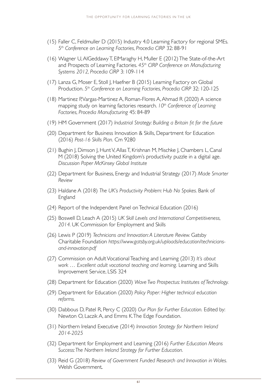- (15) Faller C, Feldmuller D (2015) Industry 4.0 Learning Factory for regional SMEs. *5th Conference on Learning Factories, Procedia CIRP* 32: 88-91
- (16) Wagner U, AlGeddawy T, ElMaraghy H, Muller E (2012) The State-of-the-Art and Prospects of Learning Factories. *45th CIRP Conference on Manufacturing Systems 2012, Procedia CIRP* 3: 109-114
- (17) Lanza G, Moser E, Stoll J, Haefner B (2015) Learning Factory on Global Production. *5th Conference on Learning Factories, Procedia CIRP* 32: 120-125
- (18) Martinez P, Vargas-Martinez A, Roman-Flores A, Ahmad R (2020) A science mapping study on learning factories research. *10<sup>th</sup>* Conference of Learning *Factories, Procedia Manufacturing* 45: 84-89
- (19) HM Government (2017) *Industrial Strategy: Building a Britain fit for the future*
- (20) Department for Business Innovation & Skills, Department for Education (2016) *Post-16 Skills Plan.* Cm 9280
- (21) Bughin J, Dimson J, Hunt V, Allas T, Krishnan M, Mischke J, Chambers L, Canal M (2018) Solving the United Kingdom's productivity puzzle in a digital age. *Discussion Paper McKinsey Global Institute*
- (22) Department for Business, Energy and Industrial Strategy (2017) *Made Smarter Review*
- (23) Haldane A (2018) *The UK's Productivity Problem: Hub No Spokes.* Bank of England
- (24) Report of the Independent Panel on Technical Education (2016)
- (25) Boswell D, Leach A (2015) *UK Skill Levels and International Competitiveness, 2014.* UK Commission for Employment and Skills
- (26) Lewis P (2019) *Technicians and Innovation: A Literature Review.* Gatsby Charitable Foundation *[https://www.gatsby.org.uk/uploads/education/technicians](https://www.gatsby.org.uk/uploads/education/technicians-and-innovation.pdf)[and-innovation.pdf](https://www.gatsby.org.uk/uploads/education/technicians-and-innovation.pdf)*
- (27) Commission on Adult Vocational Teaching and Learning (2013) *It's about work … Excellent adult vocational teaching and learning.* Learning and Skills Improvement Service, LSIS 324
- (28) Department for Education (2020) *Wave Two Prospectus: Institutes of Technology.*
- (29) Department for Education (2020) *Policy Paper: Higher technical education reforms.*
- (30) Dabbous D, Patel R, Percy C (2020) *Our Plan for Further Education.* Edited by: Newton O, Laczik A, and Emms K. The Edge Foundation.
- (31) Northern Ireland Executive (2014) *Innovation Strategy for Northern Ireland 2014-2025*
- (32) Department for Employment and Learning (2016) *Further Education Means Success: The Northern Ireland Strategy for Further Education.*
- (33) Reid G (2018) *Review of Government Funded Research and Innovation in Wales.*  Welsh Government*.*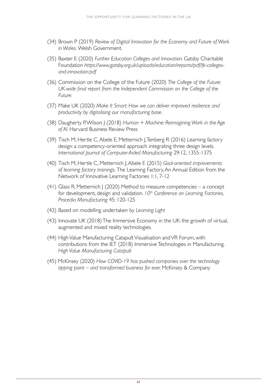- (34) Brown P (2019) *Review of Digital Innovation for the Economy and Future of Work in Wales.* Welsh Government.
- (35) Baxter E (2020) *Further Education Colleges and Innovation.* Gatsby Charitable Foundation *[https://www.gatsby.org.uk/uploads/education/reports/pdf/fe-colleges](https://www.gatsby.org.uk/uploads/education/reports/pdf/fe-colleges-and-innovation.pdf)[and-innovation.pdf](https://www.gatsby.org.uk/uploads/education/reports/pdf/fe-colleges-and-innovation.pdf)*
- (36) Commission on the College of the Future (2020) *The College of the Future: UK-wide final report from the Independent Commission on the College of the Future.*
- (37) Make UK (2020) *Make It Smart: How we can deliver improved resilience and productivity by digitalising our manufacturing base.*
- (38) Daugherty P, Wilson J (2018) *Human + Machine: Reimagining Work in the Age of AI.* Harvard Business Review Press
- (39) Tisch M, Hertle C, Abele E, Metternich J, Tenberg R (2016) Learning factory design: a competency-oriented approach integrating three design levels. *International Journal of Computer-Aided Manufacturing* 29:12, 1355-1375
- (40) Tisch M, Hertle C, Metternich J, Abele E (2015) *Goal-oriented improvements of learning factory trainings.* The Learning Factory, An Annual Edition from the Network of Innovative Learning Factories 1:1, 7-12
- (41) Glass R, Metternich J (2020) Method to measure competencies a concept for development, design and validation. *10<sup>th</sup>* Conference on Learning Factories, *Procedia Manufacturing* 45: 120-125
- (42) Based on modelling undertaken by *[Learning Light](https://www.learninglight.com/)*
- (43) Innovate UK (2018) The Immersive Economy in the UK: the growth of virtual, augmented and mixed reality technologies.
- (44) High Value Manufacturing Catapult Visualisation and VR Forum, with contributions from the IET (2018) Immersive Technologies in Manufacturing. *High Value Manufacturing Catapult*
- (45) McKinsey (2020) *How COVID-19 has pushed companies over the technology tipping point – and transformed business for ever.* McKinsey & Company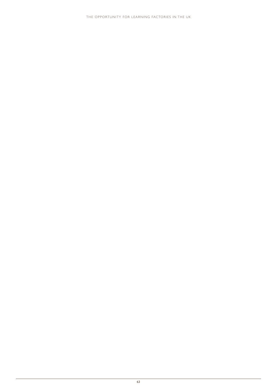THE OPPORTUNITY FOR LEARNING FACTORIES IN THE UK